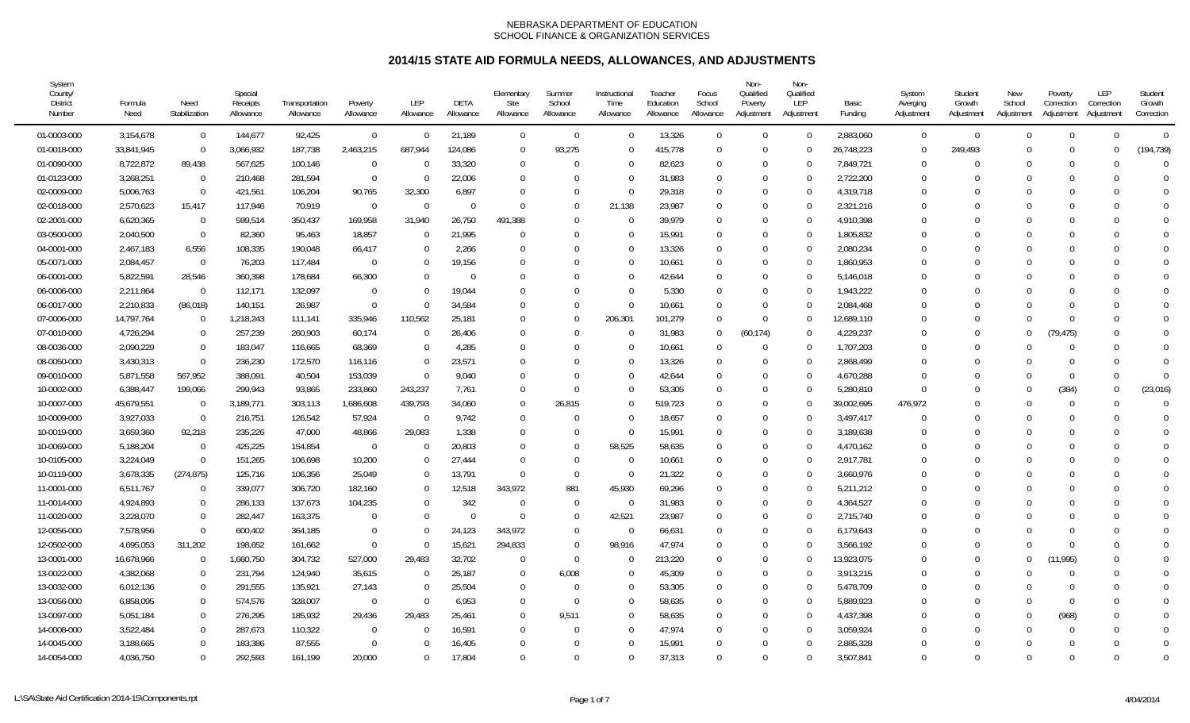| System<br>County/<br><b>District</b><br>Number | Formula<br>Need | Need<br>Stabilization | Special<br>Receipts<br>Allowance | Transportation<br>Allowance | Poverty<br>Allowance | <b>LEP</b><br>Allowance | DETA<br>Allowance | Elementary<br>Site<br>Allowance | Summer<br>School<br>Allowance | Instructional<br>Time<br>Allowance | Teacher<br>Education<br>Allowance | Focus<br>School<br>Allowance | Non-<br>Qualified<br>Poverty<br>Adjustment | Non-<br>Qualified<br>LEP<br>Adjustment | Basic<br>Funding | System<br>Averging<br>Adjustment | Student<br>Growth<br>Adjustment | New<br>School<br>Adjustment | Poverty<br>Correction<br>Adjustment | LEP<br>Correction<br>Adjustment | Student<br>Growth<br>Correction |
|------------------------------------------------|-----------------|-----------------------|----------------------------------|-----------------------------|----------------------|-------------------------|-------------------|---------------------------------|-------------------------------|------------------------------------|-----------------------------------|------------------------------|--------------------------------------------|----------------------------------------|------------------|----------------------------------|---------------------------------|-----------------------------|-------------------------------------|---------------------------------|---------------------------------|
| 01-0003-000                                    | 3,154,678       | $\mathbf 0$           | 144,677                          | 92,425                      | $\mathbf 0$          | $\Omega$                | 21,189            | $\overline{0}$                  | $\overline{0}$                | $\Omega$                           | 13,326                            | $\Omega$                     | $\Omega$                                   | $\Omega$                               | 2,883,060        | $\overline{0}$                   | $\Omega$                        | $\Omega$                    | $\Omega$                            | $\theta$                        | $\overline{0}$                  |
| 01-0018-000                                    | 33,841,945      | $\mathbf 0$           | 3,066,932                        | 187,738                     | 2,463,215            | 687,944                 | 124,086           | $\overline{0}$                  | 93,275                        | $\Omega$                           | 415,778                           | $\Omega$                     | $\Omega$                                   |                                        | 26,748,223       | $\overline{0}$                   | 249,493                         | $\Omega$                    | $\Omega$                            | $\theta$                        | (194, 739)                      |
| 01-0090-000                                    | 8,722,872       | 89,438                | 567,625                          | 100,146                     | $\overline{0}$       |                         | 33,320            | $\overline{0}$                  | $\Omega$                      | $\Omega$                           | 82,623                            | $\Omega$                     | $\Omega$                                   | $\Omega$                               | 7,849,721        | $\mathbf{0}$                     |                                 |                             | $\Omega$                            | $\Omega$                        | $\Omega$                        |
| 01-0123-000                                    | 3,268,251       | $\overline{0}$        | 210,468                          | 281,594                     | $\mathbf 0$          | $\Omega$                | 22,006            | $\overline{0}$                  | $\Omega$                      | $\Omega$                           | 31,983                            | $\Omega$                     | $\Omega$                                   | $\Omega$                               | 2,722,200        | $\Omega$                         |                                 | $\Omega$                    | $\Omega$                            | $\Omega$                        | $\Omega$                        |
| 02-0009-000                                    | 5,006,763       | $\Omega$              | 421,561                          | 106,204                     | 90,765               | 32,300                  | 6,897             | $\Omega$                        | $\Omega$                      | $\Omega$                           | 29,318                            | $\Omega$                     | $\Omega$                                   | $\Omega$                               | 4,319,718        | $\Omega$                         |                                 |                             |                                     | $\Omega$                        | $\Omega$                        |
| 02-0018-000                                    | 2,570,623       | 15,417                | 117,946                          | 70,919                      | $\Omega$             | $\Omega$                | $\Omega$          | $\Omega$                        | $\Omega$                      | 21,138                             | 23,987                            | $\Omega$                     | $\Omega$                                   | $\Omega$                               | 2,321,216        | $\Omega$                         |                                 |                             | $\Omega$                            | $\Omega$                        | $\Omega$                        |
| 02-2001-000                                    | 6,620,365       | $\overline{0}$        | 599,514                          | 350,437                     | 169,958              | 31,940                  | 26,750            | 491,388                         | $\Omega$                      | $\Omega$                           | 39,979                            | $\Omega$                     | $\Omega$                                   | $\Omega$                               | 4,910,398        | $\Omega$                         |                                 |                             |                                     | $\Omega$                        | $\Omega$                        |
| 03-0500-000                                    | 2,040,500       | $\mathbf 0$           | 82,360                           | 95,463                      | 18,857               | $\Omega$                | 21,995            | $\Omega$                        | $\Omega$                      | $\Omega$                           | 15,991                            | $\Omega$                     | $\Omega$                                   | $\Omega$                               | 1,805,832        | $\Omega$                         |                                 |                             |                                     | $\Omega$                        | $\Omega$                        |
| 04-0001-000                                    | 2,467,183       | 6,556                 | 108,335                          | 190,048                     | 66,417               | $\Omega$                | 2,266             | $\Omega$                        | $\Omega$                      | $\Omega$                           | 13,326                            | $\Omega$                     | $\Omega$                                   | $\Omega$                               | 2,080,234        | $\Omega$                         |                                 |                             |                                     | 0                               | $\Omega$                        |
| 05-0071-000                                    | 2,084,457       | $\mathbf 0$           | 76,203                           | 117,484                     | $\Omega$             |                         | 19,156            | $\Omega$                        | $\Omega$                      | $\Omega$                           | 10,661                            | $\Omega$                     | $\Omega$                                   | 0                                      | 1,860,953        | $\Omega$                         |                                 |                             |                                     | <sup>0</sup>                    | $\Omega$                        |
| 06-0001-000                                    | 5,822,591       | 28,546                | 360,398                          | 178,684                     | 66,300               |                         | $\Omega$          | $\Omega$                        | $\Omega$                      | $\Omega$                           | 42,644                            | $\Omega$                     | $\Omega$                                   | $\Omega$                               | 5,146,018        | $\Omega$                         |                                 |                             |                                     | $\Omega$                        | $\bigcap$                       |
| 06-0006-000                                    | 2,211,864       | $\overline{0}$        | 112,171                          | 132,097                     | -0                   |                         | 19,044            | $\Omega$                        | $\Omega$                      | $\Omega$                           | 5,330                             | $\Omega$                     | $\Omega$                                   | $\Omega$                               | 1,943,222        | 0                                |                                 |                             |                                     | <sup>0</sup>                    | $\bigcap$                       |
| 06-0017-000                                    | 2,210,833       | (86, 018)             | 140,151                          | 26,987                      | $\Omega$             |                         | 34,584            | $\Omega$                        | $\Omega$                      | $\Omega$                           | 10,661                            | $\Omega$                     | $\Omega$                                   | $\Omega$                               | 2,084,468        | $\Omega$                         |                                 |                             |                                     | <sup>0</sup>                    | $\Omega$                        |
| 07-0006-000                                    | 14,797,764      | $\overline{0}$        | 1,218,243                        | 111,141                     | 335,946              | 110,562                 | 25,181            | $\Omega$                        | $\Omega$                      | 206,301                            | 101,279                           | $\Omega$                     | $\Omega$                                   | $\Omega$                               | 12,689,110       | $\Omega$                         |                                 | $\cup$                      | $\Omega$                            | $\Omega$                        | $\Omega$                        |
| 07-0010-000                                    | 4,726,294       | $\Omega$              | 257,239                          | 260,903                     | 60,174               | $\Omega$                | 26,406            | $\Omega$                        | $\Omega$                      | $\Omega$                           | 31,983                            | $\Omega$                     | (60, 174)                                  | $\Omega$                               | 4,229,237        | $\Omega$                         |                                 | $\Omega$                    | (79, 475)                           | $\Omega$                        | $\Omega$                        |
| 08-0036-000                                    | 2,090,229       | $\overline{0}$        | 183,047                          | 116,665                     | 68,369               |                         | 4,285             | $\Omega$                        | $\Omega$                      | $\Omega$                           | 10,661                            | $\Omega$                     | $\Omega$                                   | $\Omega$                               | 1,707,203        | $\Omega$                         | 0                               |                             | $\Omega$                            | $\Omega$                        | $\Omega$                        |
| 08-0050-000                                    | 3,430,313       | $\Omega$              | 236,230                          | 172,570                     | 116,116              |                         | 23,571            | $\Omega$                        | $\Omega$                      | $\Omega$                           | 13,326                            | $\Omega$                     | $\Omega$                                   |                                        | 2,868,499        | 0                                |                                 |                             | $\Omega$                            | ∩                               | $\bigcap$                       |
| 09-0010-000                                    | 5,871,558       | 567,952               | 388,091                          | 40,504                      | 153,039              | $\Omega$                | 9,040             | $\Omega$                        | $\Omega$                      | $\Omega$                           | 42,644                            | $\Omega$                     | $\Omega$                                   | $\Omega$                               | 4,670,288        | $\Omega$                         |                                 |                             | $\Omega$                            | $\Omega$                        | $\bigcap$                       |
| 10-0002-000                                    | 6,388,447       | 199,066               | 299,943                          | 93,865                      | 233,860              | 243,237                 | 7,761             | $\Omega$                        | $\Omega$                      | $\Omega$                           | 53,305                            | $\Omega$                     | $\Omega$                                   | $\Omega$                               | 5,280,810        | $\Omega$                         |                                 | $\Omega$                    | (384)                               | $\Omega$                        | (23,016)                        |
| 10-0007-000                                    | 45,679,551      | $\Omega$              | 3,189,771                        | 303,113                     | 1,686,608            | 439,793                 | 34,060            | $\overline{0}$                  | 26.815                        | $\Omega$                           | 519.723                           | $\Omega$                     | $\Omega$                                   | $\Omega$                               | 39,002,695       | 476,972                          |                                 | $\Omega$                    | $\Omega$                            | $\Omega$                        | $\Omega$                        |
| 10-0009-000                                    | 3,927,033       | $\overline{0}$        | 216,751                          | 126,542                     | 57,924               | $\Omega$                | 9,742             | $\Omega$                        | $\Omega$                      | $\Omega$                           | 18,657                            | $\Omega$                     | $\Omega$                                   |                                        | 3,497,417        | $\Omega$                         |                                 |                             | $\Omega$                            | $\Omega$                        | $\bigcap$                       |
| 10-0019-000                                    | 3,659,360       | 92,218                | 235,226                          | 47,000                      | 48,866               | 29,083                  | 1,338             | $\Omega$                        | $\Omega$                      | $\Omega$                           | 15,991                            | $\Omega$                     | $\Omega$                                   | $\Omega$                               | 3,189,638        | $\Omega$                         |                                 | $\Gamma$                    |                                     | <sup>0</sup>                    | $\bigcap$                       |
| 10-0069-000                                    | 5,188,204       | $\overline{0}$        | 425,225                          | 154,854                     | $\Omega$             | $\Omega$                | 20,803            | $\Omega$                        | $\Omega$                      | 58,525                             | 58,635                            | $\Omega$                     | $\Omega$                                   | $\Omega$                               | 4,470,162        | $\Omega$                         |                                 |                             |                                     | $\Omega$                        | $\bigcap$                       |
| 10-0105-000                                    | 3,224,049       | $\overline{0}$        | 151,265                          | 106,698                     | 10,200               | $\Omega$                | 27,444            | $\Omega$                        | $\Omega$                      | $\Omega$                           | 10,661                            | $\Omega$                     | $\Omega$                                   | $\Omega$                               | 2,917,781        | $\Omega$                         |                                 |                             |                                     | $\Omega$                        | $\Omega$                        |
| 10-0119-000                                    | 3,678,335       | (274, 875)            | 125,716                          | 106,356                     | 25,049               |                         | 13,791            | $\Omega$                        | - 0                           | $\Omega$                           | 21,322                            | $\Omega$                     | $\Omega$                                   | $\Omega$                               | 3,660,976        | $\Omega$                         |                                 |                             |                                     | $\Omega$                        | $\Omega$                        |
| 11-0001-000                                    | 6,511,767       | $\Omega$              | 339,077                          | 306,720                     | 182,160              |                         | 12,518            | 343,972                         | 881                           | 45,930                             | 69,296                            | $\Omega$                     | $\Omega$                                   |                                        | 5,211,212        | $\Omega$                         |                                 |                             | $\Omega$                            | $\Omega$                        | $\bigcap$                       |
| 11-0014-000                                    | 4,924,893       | $\Omega$              | 286,133                          | 137,673                     | 104,235              | U                       | 342               | $\Omega$                        | $\Omega$                      | $\Omega$                           | 31,983                            | $\Omega$                     | $\Omega$                                   | $\Omega$                               | 4,364,527        | $\Omega$                         | N                               | $\Omega$                    |                                     | ∩                               | $\bigcap$                       |
| 11-0020-000                                    | 3,228,070       | $\Omega$              | 282,447                          | 163,375                     | $\Omega$             |                         | $\Omega$          | $\Omega$                        | $\Omega$                      | 42,521                             | 23,987                            | $\Omega$                     | $\Omega$                                   | $\Omega$                               | 2,715,740        | $\Omega$                         |                                 |                             |                                     | $\Omega$                        | $\bigcap$                       |
| 12-0056-000                                    | 7,578,956       | $\Omega$              | 600,402                          | 364,185                     | $\Omega$             |                         | 24,123            | 343,972                         | $\Omega$                      | $\Omega$                           | 66,631                            | $\Omega$                     | $\Omega$                                   | $\Omega$                               | 6,179,643        | $\Omega$                         |                                 |                             | $\Omega$                            | $\Omega$                        | $\bigcap$                       |
| 12-0502-000                                    | 4,695,053       | 311,202               | 198,652                          | 161,662                     | $\Omega$             | $\Omega$                | 15,621            | 294,833                         | $\Omega$                      | 98,916                             | 47,974                            | $\Omega$                     | $\Omega$                                   | $\Omega$                               | 3,566,192        | $\Omega$                         |                                 |                             | $\Omega$                            | $\Omega$                        | $\Omega$                        |
| 13-0001-000                                    | 16,678,966      | $\Omega$              | 1,660,750                        | 304,732                     | 527,000              | 29,483                  | 32,702            | $\Omega$                        | - 0                           | $\Omega$                           | 213,220                           | $\Omega$                     | $\Omega$                                   |                                        | 13,923,075       | $\Omega$                         |                                 | $\Omega$                    | (11, 995)                           | $\Omega$                        | $\bigcap$                       |
| 13-0022-000                                    | 4,382,068       | $\overline{0}$        | 231,794                          | 124,940                     | 35,615               | $\Omega$                | 25,187            | $\overline{0}$                  | 6,008                         | $\Omega$                           | 45,309                            | $\Omega$                     | $\Omega$                                   | $\Omega$                               | 3,913,215        | $\Omega$                         |                                 |                             |                                     | ∩                               | $\bigcap$                       |
| 13-0032-000                                    | 6,012,136       | $\mathbf 0$           | 291,555                          | 135,921                     | 27,143               | $\Omega$                | 25,504            | $\overline{0}$                  | - 0                           | $\Omega$                           | 53,305                            | $\Omega$                     | $\Omega$                                   | $\Omega$                               | 5,478,709        | $\Omega$                         |                                 |                             |                                     | $\Omega$                        | $\bigcap$                       |
| 13-0056-000                                    | 6,858,095       | $\Omega$              | 574,576                          | 328,007                     | $\mathbf 0$          | $\Omega$                | 6,953             | $\Omega$                        | $\Omega$                      | $\Omega$                           | 58,635                            | $\Omega$                     | $\Omega$                                   | $\Omega$                               | 5,889,923        | $\Omega$                         |                                 |                             | $\Omega$                            | $\Omega$                        | $\Omega$                        |
| 13-0097-000                                    | 5,051,184       | $\Omega$              | 276,295                          | 185,932                     | 29,436               | 29,483                  | 25,461            | $\overline{0}$                  | 9,511                         | $\Omega$                           | 58,635                            | $\Omega$                     | $\Omega$                                   | $\Omega$                               | 4,437,398        | $\Omega$                         | U                               | $\Omega$                    | (968)                               | $\Omega$                        | $\overline{0}$                  |
| 14-0008-000                                    | 3,522,484       | $\Omega$              | 287,673                          | 110,322                     | $\Omega$             |                         | 16,591            | $\overline{0}$                  | $\Omega$                      | $\Omega$                           | 47,974                            | $\Omega$                     | $\Omega$                                   | ∩                                      | 3,059,924        | $\Omega$                         |                                 | $\Omega$                    | $\Omega$                            | $\Omega$                        | $\mathbf 0$                     |
| 14-0045-000                                    | 3,188,665       | $\Omega$              | 183,386                          | 87,555                      | $\Omega$             |                         | 16,405            | $\overline{0}$                  | $\Omega$                      | $\Omega$                           | 15,991                            | $\Omega$                     | $\Omega$                                   |                                        | 2,885,328        | $\Omega$                         | U                               |                             |                                     | ∩                               | $\Omega$                        |
| 14-0054-000                                    | 4,036,750       | $\Omega$              | 292,593                          | 161,199                     | 20,000               | $\Omega$                | 17,804            | $\Omega$                        | $\Omega$                      | $\Omega$                           | 37,313                            | $\Omega$                     | $\Omega$                                   | $\Omega$                               | 3,507,841        | $\Omega$                         | U                               | $\cap$                      | $\cap$                              | $\Omega$                        | $\Omega$                        |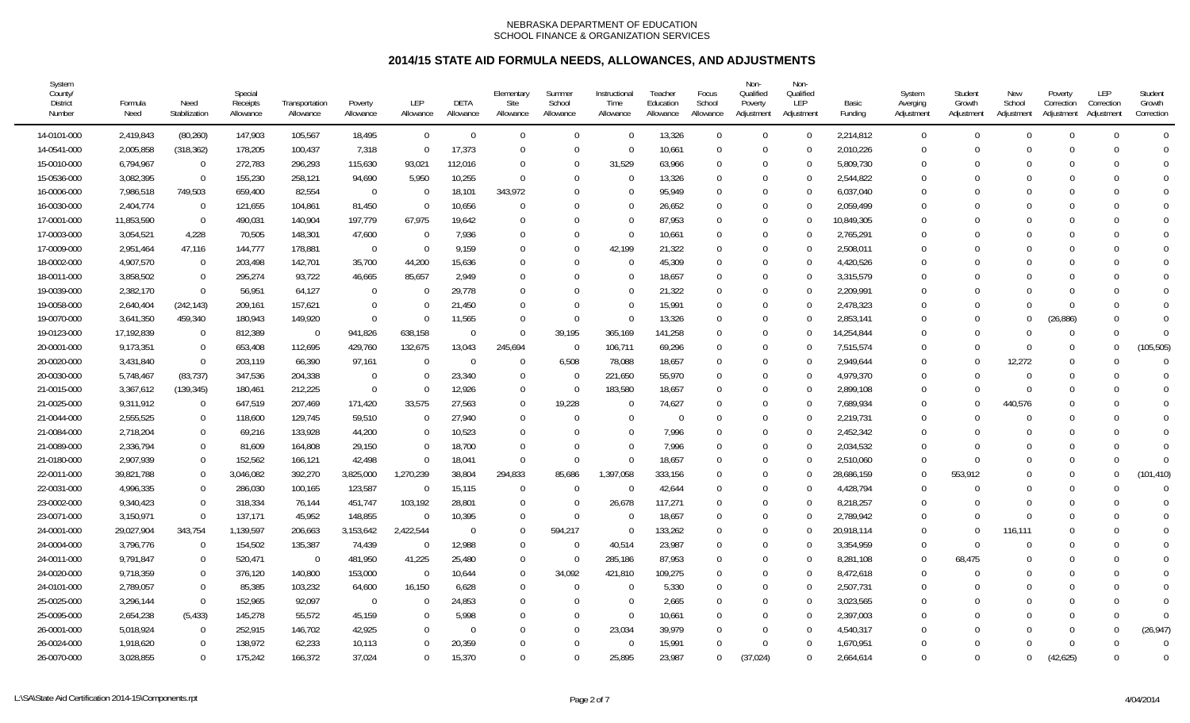| System<br>County/<br><b>District</b><br>Number | Formula<br>Need | Need<br>Stabilization | Special<br>Receipts<br>Allowance | Transportation<br>Allowance | Poverty<br>Allowance | <b>LEP</b><br>Allowance | DETA<br>Allowance | Elementary<br>Site<br>Allowance | Summer<br>School<br>Allowance | Instructional<br>Time<br>Allowance | Teacher<br>Education<br>Allowance | Focus<br>School<br>Allowance | Non-<br>Qualified<br>Poverty<br>Adjustment | Non-<br>Qualified<br>LEP<br>Adjustment | Basic<br>Funding | System<br>Averging<br>Adjustment | Student<br>Growth<br>Adjustment | New<br>School<br>Adjustment | Poverty<br>Correction<br>Adjustment | LEP<br>Correction<br>Adjustment | Student<br>Growth<br>Correction |
|------------------------------------------------|-----------------|-----------------------|----------------------------------|-----------------------------|----------------------|-------------------------|-------------------|---------------------------------|-------------------------------|------------------------------------|-----------------------------------|------------------------------|--------------------------------------------|----------------------------------------|------------------|----------------------------------|---------------------------------|-----------------------------|-------------------------------------|---------------------------------|---------------------------------|
| 14-0101-000                                    | 2,419,843       | (80, 260)             | 147,903                          | 105,567                     | 18,495               | $\Omega$                | $\Omega$          | $\mathbf 0$                     | $\Omega$                      | $\mathbf 0$                        | 13,326                            | $\Omega$                     | $\Omega$                                   | $\Omega$                               | 2,214,812        | $\overline{0}$                   | 0                               | $\Omega$                    | $\Omega$                            | $\theta$                        | $\Omega$                        |
| 14-0541-000                                    | 2,005,858       | (318, 362)            | 178,205                          | 100,437                     | 7,318                | $\Omega$                | 17,373            | $\Omega$                        | $\Omega$                      | $\overline{0}$                     | 10,661                            | $\Omega$                     | $\Omega$                                   |                                        | 2,010,226        | $\Omega$                         |                                 | $\cap$                      |                                     | $\Omega$                        | $\bigcap$                       |
| 15-0010-000                                    | 6,794,967       | $\mathbf 0$           | 272,783                          | 296,293                     | 115,630              | 93,021                  | 112,016           | $\overline{0}$                  | $\Omega$                      | 31,529                             | 63,966                            | $\Omega$                     | $\Omega$                                   | $\Omega$                               | 5,809,730        | $\Omega$                         |                                 |                             |                                     | $\Omega$                        | $\Omega$                        |
| 15-0536-000                                    | 3,082,395       | $\overline{0}$        | 155,230                          | 258,121                     | 94,690               | 5,950                   | 10,255            | $\Omega$                        | $\Omega$                      | $\Omega$                           | 13,326                            | $\Omega$                     | $\Omega$                                   | $\Omega$                               | 2,544,822        | $\Omega$                         |                                 |                             | $\cap$                              | $\Omega$                        | $\theta$                        |
| 16-0006-000                                    | 7,986,518       | 749,503               | 659,400                          | 82,554                      | $\Omega$             | $\Omega$                | 18,101            | 343,972                         | $\Omega$                      | $\Omega$                           | 95,949                            | $\Omega$                     | $\Omega$                                   | $\Omega$                               | 6,037,040        | $\Omega$                         |                                 |                             |                                     | $\Omega$                        | $\Omega$                        |
| 16-0030-000                                    | 2,404,774       | $\Omega$              | 121,655                          | 104,861                     | 81,450               |                         | 10,656            | $\Omega$                        | $\Omega$                      | $\Omega$                           | 26,652                            | $\Omega$                     | $\Omega$                                   |                                        | 2,059,499        | $\Omega$                         |                                 |                             | $\Omega$                            | $\Omega$                        | $\Omega$                        |
| 17-0001-000                                    | 11,853,590      | $\overline{0}$        | 490,031                          | 140,904                     | 197,779              | 67,975                  | 19,642            | $\Omega$                        | $\Omega$                      | $\Omega$                           | 87,953                            | $\Omega$                     | $\Omega$                                   |                                        | 10,849,305       | $\Omega$                         |                                 |                             |                                     | $\Omega$                        | $\bigcap$                       |
| 17-0003-000                                    | 3,054,521       | 4,228                 | 70,505                           | 148,301                     | 47,600               | $\Omega$                | 7,936             | $\Omega$                        | $\Omega$                      | $\Omega$                           | 10,661                            | $\Omega$                     | $\Omega$                                   | $\Omega$                               | 2,765,291        | $\Omega$                         |                                 |                             |                                     | $\Omega$                        | $\Omega$                        |
| 17-0009-000                                    | 2,951,464       | 47,116                | 144,777                          | 178,881                     | $\overline{0}$       | $\Omega$                | 9,159             | $\Omega$                        | $\Omega$                      | 42,199                             | 21,322                            | $\Omega$                     | $\Omega$                                   | $\Omega$                               | 2,508,011        | $\Omega$                         |                                 |                             |                                     | <sup>0</sup>                    | $\Omega$                        |
| 18-0002-000                                    | 4,907,570       | $\Omega$              | 203,498                          | 142,701                     | 35,700               | 44,200                  | 15,636            | $\Omega$                        | $\Omega$                      | $\Omega$                           | 45,309                            | $\Omega$                     | $\Omega$                                   | $\Omega$                               | 4,420,526        | $\Omega$                         |                                 |                             |                                     | <sup>0</sup>                    | $\Omega$                        |
| 18-0011-000                                    | 3,858,502       | $\Omega$              | 295,274                          | 93,722                      | 46,665               | 85,657                  | 2,949             | $\Omega$                        | $\Omega$                      | $\Omega$                           | 18,657                            | $\Omega$                     | $\Omega$                                   |                                        | 3,315,579        | $\Omega$                         |                                 |                             |                                     |                                 | $\bigcap$                       |
| 19-0039-000                                    | 2,382,170       | $\Omega$              | 56,951                           | 64,127                      | -0                   |                         | 29,778            | $\Omega$                        | $\Omega$                      | $\Omega$                           | 21,322                            | $\Omega$                     | $\Omega$                                   | $\Omega$                               | 2,209,991        | 0                                |                                 |                             |                                     | $\Omega$                        | $\bigcap$                       |
| 19-0058-000                                    | 2,640,404       | (242, 143)            | 209,161                          | 157,621                     | $\Omega$             |                         | 21,450            | $\Omega$                        | $\Omega$                      | $\Omega$                           | 15,991                            | $\Omega$                     | $\Omega$                                   | $\Omega$                               | 2,478,323        | $\Omega$                         |                                 | $\Gamma$                    | $\Omega$                            | <sup>0</sup>                    | $\bigcap$                       |
| 19-0070-000                                    | 3,641,350       | 459,340               | 180,943                          | 149,920                     | $\Omega$             | $\Omega$                | 11,565            | $\Omega$                        | $\Omega$                      | $\Omega$                           | 13,326                            | $\Omega$                     | $\Omega$                                   | $\Omega$                               | 2,853,141        | $\Omega$                         |                                 | $\Omega$                    | (26, 886)                           | $\Omega$                        | $\Omega$                        |
| 19-0123-000                                    | 17,192,839      | $\Omega$              | 812,389                          | -0                          | 941,826              | 638,158                 | $\Omega$          | $\Omega$                        | 39,195                        | 365,169                            | 141,258                           | $\Omega$                     | $\Omega$                                   | $\Omega$                               | 14,254,844       | $\Omega$                         |                                 |                             | $\Omega$                            | $\Omega$                        | $\Omega$                        |
| 20-0001-000                                    | 9,173,351       | $\Omega$              | 653,408                          | 112,695                     | 429,760              | 132,675                 | 13,043            | 245,694                         | - 0                           | 106,711                            | 69,296                            | $\Omega$                     | $\Omega$                                   |                                        | 7,515,574        | $\Omega$                         |                                 | $\Omega$                    | $\Omega$                            | $\Omega$                        | (105, 505)                      |
| 20-0020-000                                    | 3,431,840       | $\overline{0}$        | 203,119                          | 66,390                      | 97,161               |                         | 0                 | - 0                             | 6,508                         | 78,088                             | 18,657                            | $\Omega$                     | $\Omega$                                   |                                        | 2,949,644        | $\Omega$                         |                                 | 12,272                      | $\Omega$                            | ∩                               | $\bigcap$                       |
| 20-0030-000                                    | 5,748,467       | (83, 737)             | 347,536                          | 204,338                     | $\Omega$             |                         | 23,340            | $\mathbf 0$                     | $\Omega$                      | 221,650                            | 55,970                            | $\Omega$                     | $\Omega$                                   | $\Omega$                               | 4,979,370        | $\Omega$                         |                                 | $\Omega$                    |                                     | ſ                               | $\Omega$                        |
| 21-0015-000                                    | 3,367,612       | (139, 345)            | 180,461                          | 212,225                     | $\Omega$             | $\Omega$                | 12,926            | $\Omega$                        | - 0                           | 183,580                            | 18,657                            | $\Omega$                     | $\Omega$                                   | $\Omega$                               | 2,899,108        | $\Omega$                         |                                 | $\Omega$                    | $\Omega$                            | $\Omega$                        | $\Omega$                        |
| 21-0025-000                                    | 9,311,912       | $\Omega$              | 647.519                          | 207,469                     | 171,420              | 33.575                  | 27,563            | $\Omega$                        | 19,228                        | $\Omega$                           | 74,627                            | $\Omega$                     | $\Omega$                                   | $\Omega$                               | 7,689,934        | $\Omega$                         |                                 | 440.576                     |                                     | <sup>0</sup>                    | $\Omega$                        |
| 21-0044-000                                    | 2,555,525       | $\Omega$              | 118,600                          | 129,745                     | 59,510               |                         | 27,940            | $\Omega$                        | $\Omega$                      | $\Omega$                           | $\Omega$                          | $\Omega$                     | $\Omega$                                   |                                        | 2,219,731        | $\Omega$                         |                                 | $\cap$                      |                                     | ∩                               | $\bigcap$                       |
| 21-0084-000                                    | 2,718,204       | $\Omega$              | 69,216                           | 133,928                     | 44,200               |                         | 10,523            | $\Omega$                        | $\Omega$                      | $\Omega$                           | 7,996                             | $\Omega$                     | $\Omega$                                   |                                        | 2,452,342        | $\Omega$                         |                                 |                             |                                     | ∩                               | $\bigcap$                       |
| 21-0089-000                                    | 2,336,794       | $\Omega$              | 81,609                           | 164,808                     | 29,150               | $\Omega$                | 18,700            | $\Omega$                        | $\Omega$                      | $\Omega$                           | 7,996                             | $\Omega$                     | $\Omega$                                   | $\Omega$                               | 2,034,532        | $\Omega$                         |                                 |                             |                                     | $\Omega$                        | $\bigcap$                       |
| 21-0180-000                                    | 2,907,939       | $\Omega$              | 152,562                          | 166,121                     | 42,498               | $\Omega$                | 18,041            | $\Omega$                        | $\Omega$                      | $\Omega$                           | 18,657                            | $\Omega$                     | $\Omega$                                   | $\Omega$                               | 2,510,060        | $\Omega$                         |                                 |                             | $\Omega$                            | $\Omega$                        | $\bigcap$                       |
| 22-0011-000                                    | 39,821,788      | $\Omega$              | 3,046,082                        | 392,270                     | 3,825,000            | 1,270,239               | 38,804            | 294,833                         | 85.686                        | 1,397,058                          | 333,156                           | $\Omega$                     | $\Omega$                                   | $\Omega$                               | 28,686,159       | $\Omega$                         | 553.912                         |                             |                                     | <sup>0</sup>                    | (101, 410)                      |
| 22-0031-000                                    | 4,996,335       | $\Omega$              | 286,030                          | 100,165                     | 123,587              |                         | 15,115            | $\Omega$                        | $\Omega$                      | $\Omega$                           | 42,644                            | $\Omega$                     | $\Omega$                                   |                                        | 4,428,794        | $\Omega$                         |                                 |                             | $\Omega$                            |                                 | $\bigcap$                       |
| 23-0002-000                                    | 9,340,423       | $\overline{0}$        | 318,334                          | 76,144                      | 451,747              | 103,192                 | 28,801            | $\Omega$                        | $\Omega$                      | 26,678                             | 117,271                           | $\Omega$                     | $\Omega$                                   | $\Omega$                               | 8,218,257        | $\Omega$                         |                                 | $\Gamma$                    | $\Omega$                            | ſ                               | $\bigcap$                       |
| 23-0071-000                                    | 3,150,971       | $\Omega$              | 137,171                          | 45,952                      | 148,855              | $\Omega$                | 10,395            | $\Omega$                        | $\Omega$                      | $\Omega$                           | 18,657                            | $\Omega$                     | $\Omega$                                   | ∩                                      | 2,789,942        | $\Omega$                         |                                 | $\Omega$                    |                                     | ∩                               | $\bigcap$                       |
| 24-0001-000                                    | 29,027,904      | 343,754               | 1,139,597                        | 206,663                     | 3,153,642            | 2,422,544               | $\Omega$          | $\Omega$                        | 594,217                       | $\Omega$                           | 133,262                           | $\Omega$                     | $\Omega$                                   | $\Omega$                               | 20,918,114       | $\Omega$                         |                                 | 116,111                     |                                     | $\Omega$                        | $\bigcap$                       |
| 24-0004-000                                    | 3,796,776       | $\Omega$              | 154,502                          | 135,387                     | 74,439               | $\Omega$                | 12,988            | $\Omega$                        | - 0                           | 40,514                             | 23,987                            | $\Omega$                     | $\Omega$                                   | $\Omega$                               | 3,354,959        | $\Omega$                         | U                               | $\Omega$                    |                                     | $\Omega$                        | $\Omega$                        |
| 24-0011-000                                    | 9,791,847       | $\Omega$              | 520,471                          | $\Omega$                    | 481,950              | 41,225                  | 25,480            | $\Omega$                        | $\Omega$                      | 285,186                            | 87,953                            | $\Omega$                     | $\Omega$                                   |                                        | 8,281,108        | $\Omega$                         | 68,475                          |                             | $\Omega$                            | $\Omega$                        | $\sqrt{ }$                      |
| 24-0020-000                                    | 9,718,359       | $\overline{0}$        | 376,120                          | 140,800                     | 153,000              | - 0                     | 10,644            | $\Omega$                        | 34,092                        | 421,810                            | 109,275                           | $\Omega$                     | $\Omega$                                   | $\Omega$                               | 8,472,618        | $\Omega$                         |                                 |                             |                                     | ∩                               | $\bigcap$                       |
| 24-0101-000                                    | 2,789,057       | $\mathbf 0$           | 85,385                           | 103,232                     | 64,600               | 16,150                  | 6,628             | $\overline{0}$                  | 0                             | $\Omega$                           | 5,330                             | $\Omega$                     | $\Omega$                                   | $\Omega$                               | 2,507,731        | $\Omega$                         |                                 |                             |                                     | $\Omega$                        | $\bigcap$                       |
| 25-0025-000                                    | 3,296,144       | $\overline{0}$        | 152,965                          | 92,097                      | $\mathbf 0$          | $\Omega$                | 24,853            | $\Omega$                        | $\Omega$                      | $\Omega$                           | 2,665                             | $\Omega$                     | $\Omega$                                   | $\Omega$                               | 3,023,565        | $\Omega$                         |                                 |                             | $\Omega$                            | $\Omega$                        | $\bigcap$                       |
| 25-0095-000                                    | 2,654,238       | (5, 433)              | 145,278                          | 55,572                      | 45,159               |                         | 5,998             | $\Omega$                        | $\Omega$                      | $\Omega$                           | 10,661                            | $\Omega$                     | $\Omega$                                   | $\Omega$                               | 2,397,003        | $\Omega$                         |                                 |                             | $\Omega$                            | $\Omega$                        | $\Omega$                        |
| 26-0001-000                                    | 5,018,924       | $\Omega$              | 252,915                          | 146,702                     | 42,925               |                         | $\Omega$          | $\Omega$                        | $\Omega$                      | 23,034                             | 39,979                            | $\Omega$                     | $\Omega$                                   |                                        | 4,540,317        | $\Omega$                         |                                 |                             | $\Omega$                            | $\Omega$                        | (26, 947)                       |
| 26-0024-000                                    | 1,918,620       | $\Omega$              | 138,972                          | 62,233                      | 10,113               |                         | 20,359            | $\Omega$                        | $\Omega$                      | $\Omega$                           | 15,991                            | $\Omega$                     | $\Omega$                                   |                                        | 1,670,951        | $\Omega$                         |                                 |                             |                                     | $\Omega$                        | $\bigcap$                       |
| 26-0070-000                                    | 3,028,855       | $\Omega$              | 175,242                          | 166,372                     | 37,024               | $\Omega$                | 15,370            | $\Omega$                        | $\Omega$                      | 25,895                             | 23,987                            | $\Omega$                     | (37, 024)                                  | $\Omega$                               | 2,664,614        | $\Omega$                         | U                               | $\Omega$                    | (42, 625)                           | $\Omega$                        | $\Omega$                        |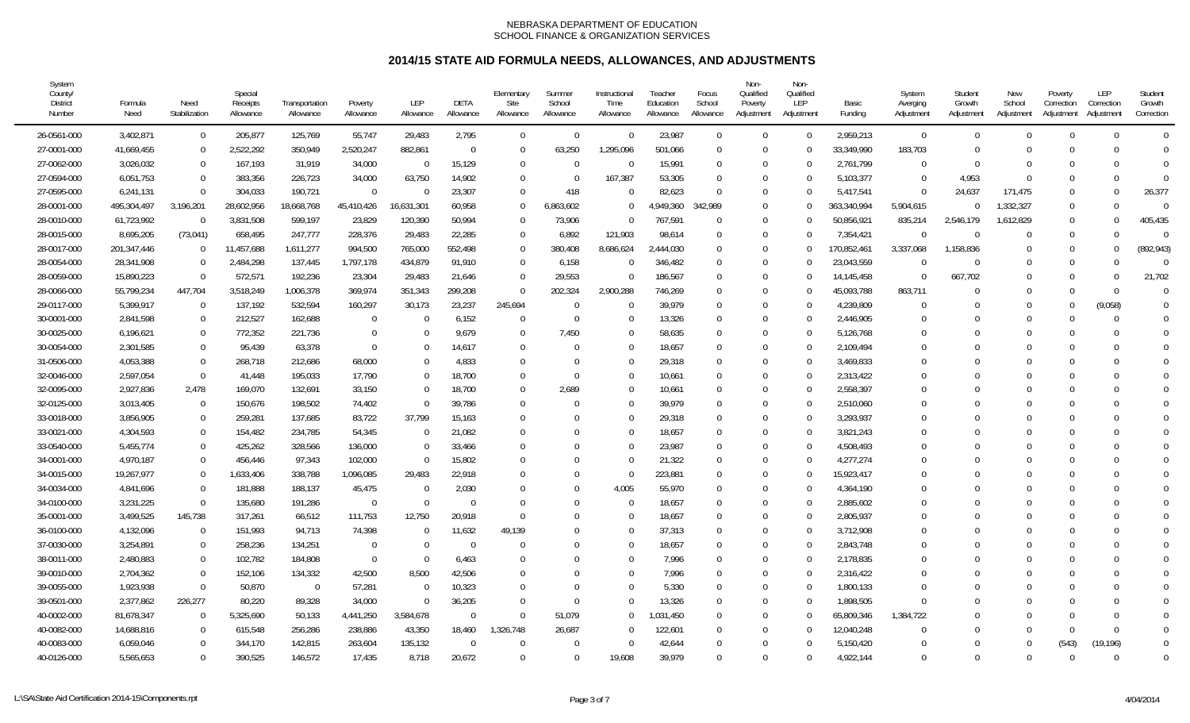| System<br>County/<br><b>District</b><br>Number | Formula<br>Need | Need<br>Stabilization | Special<br>Receipts<br>Allowance | Transportation<br>Allowance | Poverty<br>Allowance | <b>LEP</b><br>Allowance | DETA<br>Allowance | Elementary<br>Site<br>Allowance | Summer<br>School<br>Allowance | Instructional<br>Time<br>Allowance | Teacher<br>Education<br>Allowance | Focus<br>School<br>Allowance | Non-<br>Qualified<br>Poverty<br>Adjustment | Non-<br>Qualified<br>LEP<br>Adjustment | Basic<br>Funding | System<br>Averging<br>Adjustment | Student<br>Growth<br>Adjustment | New<br>School<br>Adjustment | Poverty<br>Correction<br>Adjustment | LEP<br>Correction<br>Adjustment | Student<br>Growth<br>Correction |
|------------------------------------------------|-----------------|-----------------------|----------------------------------|-----------------------------|----------------------|-------------------------|-------------------|---------------------------------|-------------------------------|------------------------------------|-----------------------------------|------------------------------|--------------------------------------------|----------------------------------------|------------------|----------------------------------|---------------------------------|-----------------------------|-------------------------------------|---------------------------------|---------------------------------|
| 26-0561-000                                    | 3,402,871       | $\overline{0}$        | 205,877                          | 125,769                     | 55,747               | 29,483                  | 2,795             | $\mathbf 0$                     | $\Omega$                      | $\Omega$                           | 23,987                            | $\Omega$                     | $\Omega$                                   | $\Omega$                               | 2,959,213        | $\overline{0}$                   | $\Omega$                        | $\Omega$                    | $\Omega$                            | $\Omega$                        | $\Omega$                        |
| 27-0001-000                                    | 41,669,455      | $\overline{0}$        | 2,522,292                        | 350,949                     | 2,520,247            | 882,861                 | $\mathbf{0}$      | $\overline{0}$                  | 63,250                        | 1,295,096                          | 501,066                           | $\Omega$                     | $\Omega$                                   |                                        | 33,349,990       | 183,703                          | U                               | $\Omega$                    |                                     | $\Omega$                        | $\bigcap$                       |
| 27-0062-000                                    | 3,026,032       | $\Omega$              | 167,193                          | 31,919                      | 34,000               | -0                      | 15,129            | $\overline{0}$                  | $\Omega$                      | $\mathbf{0}$                       | 15,991                            | $\Omega$                     | $\Omega$                                   | ∩                                      | 2,761,799        | $\Omega$                         |                                 | $\Omega$                    |                                     | $\bigcap$                       | $\bigcap$                       |
| 27-0594-000                                    | 6,051,753       | $\Omega$              | 383,356                          | 226,723                     | 34,000               | 63,750                  | 14,902            | $\Omega$                        | $\Omega$                      | 167,387                            | 53,305                            | $\Omega$                     | $\Omega$                                   | $\Omega$                               | 5,103,377        | $\Omega$                         | 4,953                           | $\Omega$                    | $\Omega$                            | $\Omega$                        | $\bigcap$                       |
| 27-0595-000                                    | 6,241,131       | $\Omega$              | 304,033                          | 190,721                     | $\Omega$             |                         | 23,307            | $\Omega$                        | 418                           | $\Omega$                           | 82,623                            | $\Omega$                     | $\Omega$                                   | $\Omega$                               | 5,417,541        | $\Omega$                         | 24,637                          | 171,475                     | $\Omega$                            | $\Omega$                        | 26,377                          |
| 28-0001-000                                    | 495,304,497     | 3,196,201             | 28,602,956                       | 18,668,768                  | 45,410,426           | 16,631,301              | 60,958            | $\Omega$                        | 6,863,602                     | $\Omega$                           | 4,949,360                         | 342,989                      | $\Omega$                                   |                                        | 363,340,994      | 5,904,615                        |                                 | 1,332,327                   | $\Omega$                            | $\Omega$                        | $\bigcap$                       |
| 28-0010-000                                    | 61,723,992      | $\Omega$              | 3,831,508                        | 599,197                     | 23,829               | 120,390                 | 50,994            | $\overline{0}$                  | 73,906                        | $\Omega$                           | 767,591                           | $\Omega$                     | $\Omega$                                   |                                        | 50,856,921       | 835,214                          | 2,546,179                       | 1,612,829                   | $\Omega$                            | $\Omega$                        | 405,435                         |
| 28-0015-000                                    | 8,695,205       | (73, 041)             | 658,495                          | 247,777                     | 228,376              | 29,483                  | 22,285            | $\overline{0}$                  | 6,892                         | 121,903                            | 98,614                            | $\Omega$                     | $\Omega$                                   | ∩                                      | 7,354,421        | $\Omega$                         | $\Omega$                        | $\Omega$                    | $\Omega$                            | $\Omega$                        | $\bigcap$                       |
| 28-0017-000                                    | 201,347,446     | $\overline{0}$        | 11,457,688                       | 1,611,277                   | 994,500              | 765,000                 | 552,498           | $\overline{0}$                  | 380,408                       | 8,686,624                          | 2,444,030                         | $\Omega$                     | $\Omega$                                   | ∩                                      | 170,852,461      | 3,337,068                        | 1,158,836                       | $\Omega$                    | $\Omega$                            | $\Omega$                        | (892, 943)                      |
| 28-0054-000                                    | 28,341,908      | $\Omega$              | 2,484,298                        | 137,445                     | 1,797,178            | 434,879                 | 91,910            | $\overline{0}$                  | 6,158                         | $\Omega$                           | 346,482                           | $\Omega$                     | $\Omega$                                   |                                        | 23,043,559       | $\Omega$                         |                                 | $\Omega$                    |                                     | $\Omega$                        | $\Omega$                        |
| 28-0059-000                                    | 15,890,223      | $\Omega$              | 572,571                          | 192,236                     | 23,304               | 29,483                  | 21,646            | $\overline{0}$                  | 29,553                        | $\Omega$                           | 186,567                           | $\Omega$                     | $\Omega$                                   |                                        | 14, 145, 458     | $\theta$                         | 667,702                         | $\Omega$                    | $\Omega$                            | $\Omega$                        | 21,702                          |
| 28-0066-000                                    | 55,799,234      | 447,704               | 3,518,249                        | 1,006,378                   | 369,974              | 351,343                 | 299,208           | $\overline{0}$                  | 202,324                       | 2,900,288                          | 746,269                           | $\Omega$                     | $\Omega$                                   |                                        | 45,093,788       | 863,711                          |                                 | $\cup$                      | $\Omega$                            | $\Omega$                        | $\Omega$                        |
| 29-0117-000                                    | 5,399,917       | $\Omega$              | 137,192                          | 532,594                     | 160,297              | 30,173                  | 23,237            | 245,694                         | $\overline{0}$                | $\Omega$                           | 39,979                            | $\Omega$                     | $\Omega$                                   | $\Omega$                               | 4,239,809        | $\Omega$                         |                                 | $\Omega$                    | $\Omega$                            | (9,058)                         | $\Omega$                        |
| 30-0001-000                                    | 2,841,598       | $\Omega$              | 212,527                          | 162,688                     | $\mathbf 0$          | $\Omega$                | 6,152             | $\overline{0}$                  | $\overline{0}$                | $\Omega$                           | 13,326                            | $\Omega$                     | $\Omega$                                   | $\Omega$                               | 2,446,905        | $\Omega$                         |                                 | $\Omega$                    | $\Omega$                            | $\Omega$                        | $\Omega$                        |
| 30-0025-000                                    | 6,196,621       | $\Omega$              | 772,352                          | 221,736                     | $\Omega$             |                         | 9,679             | $\overline{0}$                  | 7,450                         | $\Omega$                           | 58,635                            | $\Omega$                     | $\Omega$                                   | $\Omega$                               | 5,126,768        | $\Omega$                         |                                 |                             |                                     | $\Omega$                        | $\mathbf 0$                     |
| 30-0054-000                                    | 2,301,585       | $\Omega$              | 95,439                           | 63,378                      | $\Omega$             |                         | 14,617            | $\overline{0}$                  | $\Omega$                      | $\Omega$                           | 18,657                            | $\Omega$                     | $\Omega$                                   |                                        | 2,109,494        | $\Omega$                         |                                 |                             | $\Omega$                            | $\Omega$                        | $\Omega$                        |
| 31-0506-000                                    | 4,053,388       | $\mathbf 0$           | 268,718                          | 212,686                     | 68,000               |                         | 4,833             | $\overline{0}$                  | $\Omega$                      | $\Omega$                           | 29,318                            | $\Omega$                     | $\Omega$                                   | 0                                      | 3,469,833        | $\mathbf 0$                      |                                 |                             |                                     | ∩                               | $\Omega$                        |
| 32-0046-000                                    | 2,597,054       | $\Omega$              | 41,448                           | 195,033                     | 17,790               |                         | 18,700            | $\overline{0}$                  | $\Omega$                      | $\Omega$                           | 10,661                            | $\Omega$                     | $\Omega$                                   | $\Omega$                               | 2,313,422        | $\Omega$                         |                                 |                             |                                     | $\Omega$                        | $\Omega$                        |
| 32-0095-000                                    | 2,927,836       | 2,478                 | 169,070                          | 132,691                     | 33,150               |                         | 18,700            | $\Omega$                        | 2,689                         | $\Omega$                           | 10,661                            | $\Omega$                     | $\Omega$                                   | $\Omega$                               | 2,558,397        | $\Omega$                         |                                 |                             |                                     | $\Omega$                        | $\Omega$                        |
| 32-0125-000                                    | 3,013,405       | $\overline{0}$        | 150,676                          | 198,502                     | 74,402               |                         | 39,786            | $\Omega$                        | $\Omega$                      | $\Omega$                           | 39,979                            | $\Omega$                     | $\Omega$                                   | $\Omega$                               | 2,510,060        | $\Omega$                         |                                 |                             |                                     | $\Omega$                        | $\Omega$                        |
| 33-0018-000                                    | 3,856,905       | $\Omega$              | 259,281                          | 137,685                     | 83,722               | 37,799                  | 15,163            | $\Omega$                        | $\sqrt{ }$                    | $\Omega$                           | 29,318                            | $\Omega$                     | $\Omega$                                   | $\Omega$                               | 3,293,937        | $\Omega$                         |                                 |                             |                                     |                                 | $\mathbf 0$                     |
| 33-0021-000                                    | 4,304,593       | $\Omega$              | 154,482                          | 234,785                     | 54,345               |                         | 21,082            | $\mathbf{0}$                    | C                             | $\Omega$                           | 18,657                            | $\Omega$                     | $\Omega$                                   | $\Omega$                               | 3,821,243        | $\Omega$                         |                                 |                             |                                     | ∩                               | $\bigcap$                       |
| 33-0540-000                                    | 5,455,774       | $\Omega$              | 425,262                          | 328,566                     | 136,000              | $\Omega$                | 33,466            | $\mathbf{0}$                    | $\Omega$                      | $\Omega$                           | 23,987                            | $\Omega$                     | $\Omega$                                   | $\Omega$                               | 4,508,493        | $\Omega$                         |                                 |                             |                                     | $\Omega$                        | $\Omega$                        |
| 34-0001-000                                    | 4,970,187       | $\Omega$              | 456,446                          | 97,343                      | 102,000              | $\Omega$                | 15,802            | $\Omega$                        | $\Omega$                      | $\Omega$                           | 21,322                            | $\Omega$                     | $\Omega$                                   | $\Omega$                               | 4,277,274        | $\Omega$                         |                                 |                             | $\Omega$                            | $\Omega$                        | $\Omega$                        |
| 34-0015-000                                    | 19,267,977      | $\Omega$              | 1,633,406                        | 338,788                     | 1,096,085            | 29,483                  | 22,918            | $\Omega$                        | $\Omega$                      | $\Omega$                           | 223,881                           | $\Omega$                     | $\Omega$                                   | $\Omega$                               | 15,923,417       | $\Omega$                         |                                 |                             |                                     | $\Omega$                        | $\overline{0}$                  |
| 34-0034-000                                    | 4,841,696       | $\Omega$              | 181,888                          | 188,137                     | 45,475               |                         | 2,030             | $\Omega$                        | $\Omega$                      | 4,005                              | 55,970                            | $\Omega$                     | $\Omega$                                   |                                        | 4,364,190        | $\Omega$                         |                                 |                             |                                     | $\Omega$                        | $\Omega$                        |
| 34-0100-000                                    | 3,231,225       | $\Omega$              | 135,680                          | 191,286                     | $\overline{0}$       | $\cap$                  | $\Omega$          | $\Omega$                        | $\Omega$                      | $\Omega$                           | 18,657                            | $\Omega$                     | $\Omega$                                   | $\Omega$                               | 2,885,602        | $\Omega$                         |                                 |                             |                                     | $\Omega$                        | $\bigcap$                       |
| 35-0001-000                                    | 3,499,525       | 145,738               | 317,261                          | 66,512                      | 111,753              | 12,750                  | 20,918            | $\Omega$                        | $\Omega$                      | $\Omega$                           | 18,657                            | $\Omega$                     | $\Omega$                                   | $\Omega$                               | 2,805,937        | $\Omega$                         |                                 |                             |                                     | $\Omega$                        | $\bigcap$                       |
| 36-0100-000                                    | 4,132,096       | $\Omega$              | 151,993                          | 94,713                      | 74,398               |                         | 11,632            | 49,139                          | $\Omega$                      | $\Omega$                           | 37,313                            | $\Omega$                     | $\Omega$                                   | $\Omega$                               | 3,712,908        | $\Omega$                         |                                 |                             |                                     | $\Omega$                        | $\mathbf{C}$                    |
| 37-0030-000                                    | 3,254,891       | $\Omega$              | 258,236                          | 134,251                     | $\mathbf 0$          | $\Omega$                | $\Omega$          | $\Omega$                        | $\Omega$                      | $\Omega$                           | 18,657                            | $\Omega$                     | $\Omega$                                   | $\Omega$                               | 2,843,748        | $\Omega$                         |                                 |                             |                                     | $\Omega$                        | $\Omega$                        |
| 38-0011-000                                    | 2,480,883       | $\Omega$              | 102,782                          | 184,808                     | $\Omega$             |                         | 6,463             | $\Omega$                        | $\sqrt{ }$                    | $\Omega$                           | 7,996                             | $\Omega$                     | $\Omega$                                   |                                        | 2,178,835        | $\Omega$                         |                                 |                             |                                     |                                 | $\Omega$                        |
| 39-0010-000                                    | 2,704,362       | $\overline{0}$        | 152,106                          | 134,332                     | 42,500               | 8,500                   | 42,506            | $\Omega$                        | $\Omega$                      | $\Omega$                           | 7,996                             | $\Omega$                     | $\Omega$                                   | $\Omega$                               | 2,316,422        | $\Omega$                         |                                 | $\Omega$                    |                                     | $\Omega$                        | $\bigcap$                       |
| 39-0055-000                                    | 1,923,938       | $\Omega$              | 50,870                           | $\Omega$                    | 57,281               | $\Omega$                | 10,323            | $\Omega$                        | $\Omega$                      | $\Omega$                           | 5,330                             | $\Omega$                     | $\Omega$                                   | $\Omega$                               | 1,800,133        | $\Omega$                         |                                 |                             |                                     | $\Omega$                        | $\Omega$                        |
| 39-0501-000                                    | 2,377,862       | 226,277               | 80,220                           | 89,328                      | 34,000               | $\Omega$                | 36,205            | $\Omega$                        | $\Omega$                      | $\Omega$                           | 13,326                            | $\Omega$                     | $\Omega$                                   | $\Omega$                               | 1,898,505        | $\Omega$                         |                                 |                             |                                     | $\Omega$                        | $\theta$                        |
| 40-0002-000                                    | 81,678,347      | $\Omega$              | 5,325,690                        | 50,133                      | 4,441,250            | 3,584,678               | $\Omega$          | $\Omega$                        | 51,079                        | $\Omega$                           | ,031,450                          | $\Omega$                     | $\Omega$                                   | $\Omega$                               | 65,809,346       | 1,384,722                        |                                 |                             |                                     | $\Omega$                        | $\overline{0}$                  |
| 40-0082-000                                    | 14,688,816      | $\Omega$              | 615,548                          | 256,286                     | 238,886              | 43,350                  | 18,460            | 1,326,748                       | 26,687                        | $\Omega$                           | 122,601                           | $\Omega$                     | $\Omega$                                   | $\Omega$                               | 12,040,248       | $\Omega$                         |                                 | $\Omega$                    | $\Omega$                            | $\Omega$                        | $\theta$                        |
| 40-0083-000                                    | 6,059,046       | $\Omega$              | 344,170                          | 142,815                     | 263,604              | 135,132                 | $\overline{0}$    | $\Omega$                        | $\sqrt{ }$                    | $\Omega$                           | 42,644                            | $\Omega$                     | $\Omega$                                   |                                        | 5,150,420        | $\Omega$                         |                                 | $\Omega$                    | (543)                               | (19, 196)                       | $\Omega$                        |
| 40-0126-000                                    | 5,565,653       | $\Omega$              | 390,525                          | 146,572                     | 17,435               | 8,718                   | 20,672            | $\Omega$                        | $\Omega$                      | 19,608                             | 39.979                            | $\Omega$                     | $\Omega$                                   | $\Omega$                               | 4,922,144        | $\Omega$                         | $\cap$                          | $\Omega$                    | $\cap$                              | $\Omega$                        | $\Omega$                        |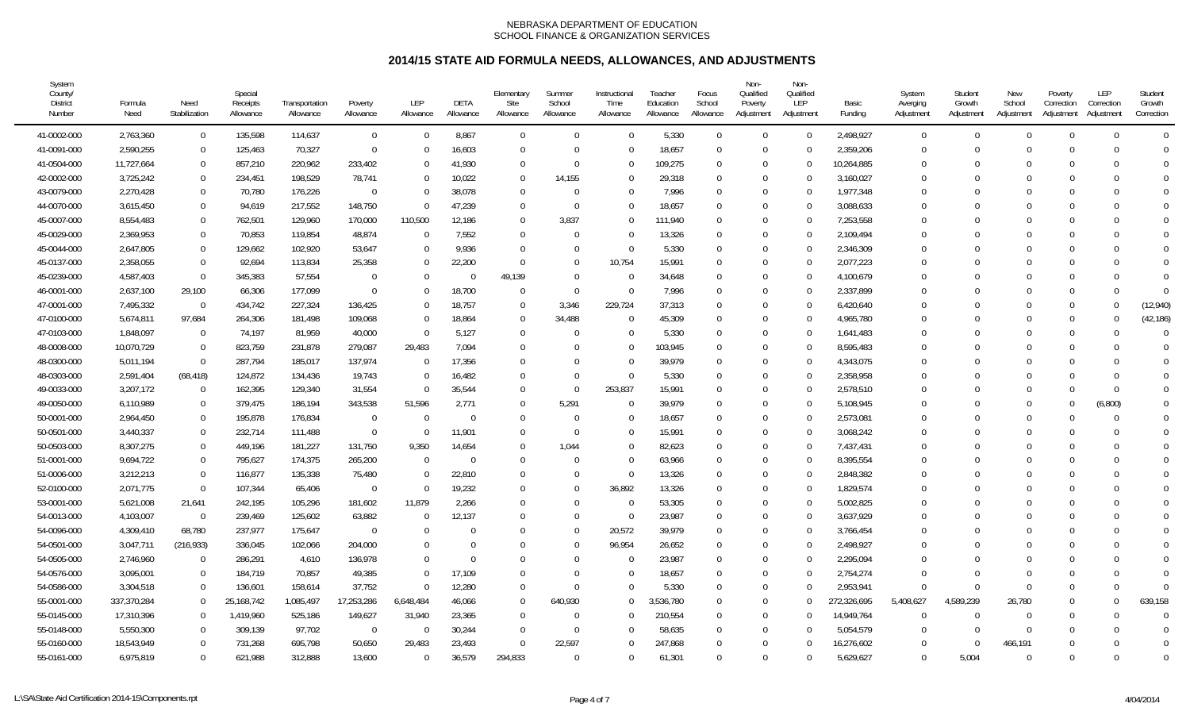| System<br>County/<br><b>District</b><br>Number | Formula<br>Need | Need<br>Stabilization | Special<br>Receipts<br>Allowance | Transportation<br>Allowance | Poverty<br>Allowance | LEP<br>Allowance | DETA<br>Allowance | Elementary<br>Site<br>Allowance | Summer<br>School<br>Allowance | Instructional<br>Time<br>Allowance | Teacher<br>Education<br>Allowance | Focus<br>School<br>Allowance | Non-<br>Qualified<br>Poverty<br>Adjustment | Non-<br>Qualified<br>LEP<br>Adjustment | Basic<br>Funding | System<br>Averging<br>Adjustment | Student<br>Growth<br>Adjustment | New<br>School<br>Adjustment | Poverty<br>Correction<br>Adjustment | LEP<br>Correction<br>Adjustment | Student<br>Growth<br>Correction |
|------------------------------------------------|-----------------|-----------------------|----------------------------------|-----------------------------|----------------------|------------------|-------------------|---------------------------------|-------------------------------|------------------------------------|-----------------------------------|------------------------------|--------------------------------------------|----------------------------------------|------------------|----------------------------------|---------------------------------|-----------------------------|-------------------------------------|---------------------------------|---------------------------------|
| 41-0002-000                                    | 2,763,360       | $\mathbf 0$           | 135,598                          | 114,637                     | $\mathbf 0$          | $\Omega$         | 8,867             | $\overline{0}$                  | $\Omega$                      | $\Omega$                           | 5,330                             | $\Omega$                     | $\Omega$                                   | $\Omega$                               | 2,498,927        | $\overline{0}$                   | $\Omega$                        | $\Omega$                    | $\Omega$                            | $\Omega$                        | $\Omega$                        |
| 41-0091-000                                    | 2,590,255       | $\overline{0}$        | 125,463                          | 70,327                      | $\mathbf 0$          |                  | 16,603            | $\Omega$                        | $\Omega$                      | $\Omega$                           | 18,657                            | $\Omega$                     | $\Omega$                                   | $\Omega$                               | 2,359,206        | $\Omega$                         |                                 | <sup>0</sup>                | $\Omega$                            | U                               | $\Omega$                        |
| 41-0504-000                                    | 11,727,664      | $\Omega$              | 857,210                          | 220,962                     | 233,402              |                  | 41,930            | $\Omega$                        | $\Omega$                      | $\Omega$                           | 109,275                           | $\Omega$                     | $\Omega$                                   | $\Omega$                               | 10,264,885       | $\Omega$                         |                                 | 0                           | $\Omega$                            |                                 | $\Omega$                        |
| 42-0002-000                                    | 3,725,242       | $\overline{0}$        | 234,451                          | 198,529                     | 78,741               |                  | 10,022            | $\overline{0}$                  | 14,155                        | $\Omega$                           | 29,318                            | $\Omega$                     | $\Omega$                                   | $\Omega$                               | 3,160,027        | $\Omega$                         |                                 | ∩                           | $\Omega$                            |                                 | $\Omega$                        |
| 43-0079-000                                    | 2,270,428       | $\overline{0}$        | 70,780                           | 176,226                     | $\Omega$             |                  | 38,078            | $\Omega$                        | $\Omega$                      | $\Omega$                           | 7,996                             | $\Omega$                     | $\Omega$                                   | 0                                      | 1,977,348        | U                                |                                 | ſ                           | $\Omega$                            |                                 | $\Omega$                        |
| 44-0070-000                                    | 3,615,450       | $\Omega$              | 94,619                           | 217,552                     | 148,750              |                  | 47,239            | $\Omega$                        | $\Omega$                      | $\Omega$                           | 18,657                            | $\Omega$                     | $\Omega$                                   | $\Omega$                               | 3,088,633        | 0                                |                                 |                             | $\Omega$                            |                                 | $\Omega$                        |
| 45-0007-000                                    | 8,554,483       | $\overline{0}$        | 762,501                          | 129,960                     | 170,000              | 110,500          | 12,186            | $\Omega$                        | 3,837                         | $\Omega$                           | 111,940                           | $\Omega$                     | $\Omega$                                   | $\Omega$                               | 7,253,558        | 0                                |                                 |                             | $\Omega$                            |                                 | $\Omega$                        |
| 45-0029-000                                    | 2,369,953       | $\Omega$              | 70,853                           | 119,854                     | 48,874               |                  | 7,552             | $\overline{0}$                  | $\Omega$                      | $\Omega$                           | 13,326                            | $\Omega$                     | $\Omega$                                   |                                        | 2,109,494        |                                  |                                 |                             | $\Omega$                            |                                 | $\Omega$                        |
| 45-0044-000                                    | 2,647,805       | $\overline{0}$        | 129,662                          | 102,920                     | 53,647               |                  | 9,936             | $\Omega$                        | $\Omega$                      | $\Omega$                           | 5,330                             | $\Omega$                     | $\Omega$                                   | $\Omega$                               | 2,346,309        | $\Omega$                         |                                 | ſ                           | $\Omega$                            |                                 | $\Omega$                        |
| 45-0137-000                                    | 2,358,055       | $\Omega$              | 92,694                           | 113,834                     | 25,358               |                  | 22,200            | $\Omega$                        | $\Omega$                      | 10,754                             | 15,991                            | $\Omega$                     | $\Omega$                                   | 0                                      | 2,077,223        | $\Omega$                         |                                 | 0                           | $\Omega$                            |                                 | $\Omega$                        |
| 45-0239-000                                    | 4,587,403       | $\Omega$              | 345,383                          | 57,554                      | $\Omega$             |                  | $\Omega$          | 49,139                          | $\Omega$                      | $\Omega$                           | 34,648                            | $\Omega$                     | $\Omega$                                   | $\Omega$                               | 4,100,679        | $\Omega$                         |                                 | <sup>0</sup>                | $\Omega$                            |                                 | $\Omega$                        |
| 46-0001-000                                    | 2,637,100       | 29,100                | 66,306                           | 177,099                     | $\Omega$             |                  | 18,700            | $\overline{0}$                  | - 0                           | $\Omega$                           | 7,996                             | $\Omega$                     | $\Omega$                                   |                                        | 2,337,899        | $\Omega$                         |                                 | C                           | $\Omega$                            |                                 | $\Omega$                        |
| 47-0001-000                                    | 7,495,332       | $\Omega$              | 434,742                          | 227,324                     | 136,425              |                  | 18,757            | $\overline{0}$                  | 3,346                         | 229,724                            | 37,313                            | $\Omega$                     | $\Omega$                                   | 0                                      | 6,420,640        | 0                                |                                 | 0                           | $\Omega$                            |                                 | (12,940)                        |
| 47-0100-000                                    | 5,674,811       | 97,684                | 264,306                          | 181,498                     | 109,068              | $\Omega$         | 18,864            | $\Omega$                        | 34,488                        | $\Omega$                           | 45,309                            | $\Omega$                     | $\Omega$                                   | $\Omega$                               | 4,965,780        | $\Omega$                         |                                 | ∩                           | $\Omega$                            | ∩                               | (42, 186)                       |
| 47-0103-000                                    | 1,848,097       | $\Omega$              | 74,197                           | 81,959                      | 40,000               |                  | 5,127             | $\Omega$                        | $\Omega$                      | $\Omega$                           | 5,330                             | $\Omega$                     | $\Omega$                                   | 0                                      | 1,641,483        | 0                                |                                 |                             | $\Omega$                            |                                 | $\Omega$                        |
| 48-0008-000                                    | 10,070,729      | $\Omega$              | 823,759                          | 231,878                     | 279,087              | 29,483           | 7,094             | $\Omega$                        | $\Omega$                      | $\Omega$                           | 103,945                           | $\Omega$                     | $\Omega$                                   |                                        | 8,595,483        | 0                                |                                 | ſ                           | $\Omega$                            |                                 | $\Omega$                        |
| 48-0300-000                                    | 5,011,194       | $\Omega$              | 287,794                          | 185,017                     | 137,974              |                  | 17,356            | $\Omega$                        | $\Omega$                      | $\Omega$                           | 39,979                            | $\Omega$                     | $\Omega$                                   | 0                                      | 4,343,075        | $\Omega$                         |                                 | <sup>0</sup>                | $\Omega$                            |                                 | $\Omega$                        |
| 48-0303-000                                    | 2,591,404       | (68, 418)             | 124,872                          | 134,436                     | 19,743               |                  | 16,482            | $\Omega$                        | $\Omega$                      | $\Omega$                           | 5,330                             | $\Omega$                     | $\Omega$                                   | 0                                      | 2,358,958        | $\Omega$                         |                                 | <sup>0</sup>                | $\Omega$                            |                                 | $\Omega$                        |
| 49-0033-000                                    | 3,207,172       | $\Omega$              | 162,395                          | 129,340                     | 31,554               | $\Omega$         | 35,544            | $\Omega$                        | - 0                           | 253,837                            | 15,991                            | $\Omega$                     | $\Omega$                                   | $\Omega$                               | 2,578,510        | $\Omega$                         |                                 | <sup>0</sup>                | $\Omega$                            | $\Omega$                        | $\Omega$                        |
| 49-0050-000                                    | 6,110,989       | $\Omega$              | 379,475                          | 186,194                     | 343,538              | 51,596           | 2,771             | $\Omega$                        | 5,291                         | $\Omega$                           | 39,979                            | $\Omega$                     | $\Omega$                                   | $\Omega$                               | 5,108,945        | $\Omega$                         |                                 | <sup>0</sup>                | $\Omega$                            | (6,800)                         | $\overline{0}$                  |
| 50-0001-000                                    | 2,964,450       | $\Omega$              | 195,878                          | 176,834                     | $\Omega$             |                  | $\Omega$          | $\overline{0}$                  | $\Omega$                      | $\Omega$                           | 18,657                            | $\Omega$                     | $\Omega$                                   |                                        | 2,573,081        | $\Omega$                         |                                 | <sup>0</sup>                | $\Omega$                            |                                 | $\Omega$                        |
| 50-0501-000                                    | 3,440,337       | $\mathbf 0$           | 232,714                          | 111,488                     | $\overline{0}$       |                  | 11,901            | $\Omega$                        | - 0                           | $\Omega$                           | 15,991                            | $\Omega$                     | $\Omega$                                   |                                        | 3,068,242        | $\Omega$                         |                                 | $\Omega$                    | $\Omega$                            |                                 | $\Omega$                        |
| 50-0503-000                                    | 8,307,275       | $\mathbf 0$           | 449,196                          | 181,227                     | 131,750              | 9,350            | 14,654            | $\overline{0}$                  | 1,044                         | $\Omega$                           | 82,623                            | $\Omega$                     | $\Omega$                                   | 0                                      | 7,437,431        | 0                                |                                 | ſ                           | $\cup$                              |                                 | $\Omega$                        |
| 51-0001-000                                    | 9,694,722       | $\Omega$              | 795,627                          | 174,375                     | 265,200              | $\Omega$         | $\Omega$          | $\Omega$                        | $\Omega$                      | $\Omega$                           | 63,966                            | $\Omega$                     | $\Omega$                                   | $\Omega$                               | 8,395,554        | $\Omega$                         |                                 | C                           | $\Omega$                            | $\Omega$                        | $\Omega$                        |
| 51-0006-000                                    | 3,212,213       | $\Omega$              | 116,877                          | 135,338                     | 75,480               |                  | 22,810            | $\Omega$                        | $\Omega$                      | $\Omega$                           | 13,326                            | $\Omega$                     | $\Omega$                                   | $\Omega$                               | 2,848,382        | $\Omega$                         |                                 | 0                           | $\Omega$                            |                                 | $\overline{0}$                  |
| 52-0100-000                                    | 2,071,775       | $\Omega$              | 107,344                          | 65,406                      | $\Omega$             |                  | 19,232            | $\Omega$                        | $\Omega$                      | 36,892                             | 13,326                            | $\Omega$                     | $\Omega$                                   |                                        | 1,829,574        | $\Omega$                         |                                 | ſ                           | $\Omega$                            |                                 | $\Omega$                        |
| 53-0001-000                                    | 5,621,008       | 21,641                | 242,195                          | 105,296                     | 181,602              | 11,879           | 2,266             | $\Omega$                        | $\Omega$                      | $\Omega$                           | 53,305                            | $\Omega$                     | $\Omega$                                   | 0                                      | 5,002,825        | $\Omega$                         |                                 | $\Omega$                    | $\Omega$                            |                                 | $\Omega$                        |
| 54-0013-000                                    | 4,103,007       | $\Omega$              | 239,469                          | 125,602                     | 63,882               |                  | 12,137            | $\Omega$                        | $\Omega$                      | $\Omega$                           | 23,987                            | $\Omega$                     | $\Omega$                                   | 0                                      | 3,637,929        | 0                                |                                 |                             | $\Omega$                            |                                 | $\theta$                        |
| 54-0096-000                                    | 4,309,410       | 68,780                | 237,977                          | 175,647                     | $\Omega$             |                  | $\Omega$          | $\Omega$                        | $\Omega$                      | 20,572                             | 39,979                            | $\Omega$                     | $\Omega$                                   | $\Omega$                               | 3,766,454        | 0                                |                                 |                             | $\Omega$                            |                                 | $\Omega$                        |
| 54-0501-000                                    | 3,047,711       | (216, 933)            | 336,045                          | 102,066                     | 204,000              |                  | $\Omega$          | $\Omega$                        | C                             | 96,954                             | 26,652                            | $\Omega$                     | $\Omega$                                   | $\theta$                               | 2,498,927        | $\Omega$                         |                                 |                             | $\Omega$                            |                                 | $\Omega$                        |
| 54-0505-000                                    | 2,746,960       | $\overline{0}$        | 286,291                          | 4,610                       | 136,978              |                  | $\Omega$          | $\Omega$                        | $\Omega$                      | <sup>-</sup>                       | 23,987                            | $\Omega$                     | $\Omega$                                   |                                        | 2,295,094        | $\Omega$                         |                                 |                             | $\Omega$                            |                                 | $\Omega$                        |
| 54-0576-000                                    | 3,095,001       | $\mathbf 0$           | 184,719                          | 70,857                      | 49,385               | U                | 17,109            | $\Omega$                        | $\Omega$                      | $\Omega$                           | 18,657                            | $\Omega$                     | $\Omega$                                   | 0                                      | 2,754,274        | $\Omega$                         |                                 | $\Omega$                    | $\Omega$                            |                                 | $\Omega$                        |
| 54-0586-000                                    | 3,304,518       | $\overline{0}$        | 136,601                          | 158,614                     | 37,752               | 0                | 12,280            | $\Omega$                        | $\Omega$                      | $\Omega$                           | 5,330                             | $\Omega$                     | $\Omega$                                   | 0                                      | 2,953,941        | $\Omega$                         |                                 | $\Omega$                    | $\Omega$                            |                                 | $\Omega$                        |
| 55-0001-000                                    | 337,370,284     | $\Omega$              | 25,168,742                       | 1,085,497                   | 17,253,286           | 6,648,484        | 46,066            | $\overline{0}$                  | 640,930                       | $\Omega$                           | 3,536,780                         | $\Omega$                     | $\Omega$                                   | 0                                      | 272,326,695      | 5,408,627                        | 4,589,239                       | 26,780                      | $\Omega$                            |                                 | 639,158                         |
| 55-0145-000                                    | 17,310,396      | $\Omega$              | 1,419,960                        | 525,186                     | 149,627              | 31,940           | 23,365            | $\overline{0}$                  | $\Omega$                      | $\Omega$                           | 210,554                           | $\Omega$                     | $\Omega$                                   | 0                                      | 14,949,764       | $\Omega$                         |                                 | $\Omega$                    | $\Omega$                            |                                 | $\Omega$                        |
| 55-0148-000                                    | 5,550,300       | $\Omega$              | 309,139                          | 97,702                      | $\mathbf{0}$         |                  | 30,244            | $\Omega$                        | $\Omega$                      | $\Omega$                           | 58,635                            | $\Omega$                     | $\Omega$                                   |                                        | 5,054,579        | $\Omega$                         |                                 | <sup>0</sup>                | $\Omega$                            |                                 | $\Omega$                        |
| 55-0160-000                                    | 18,543,949      | $\Omega$              | 731,268                          | 695,798                     | 50,650               | 29,483           | 23,493            | $\Omega$                        | 22,597                        | $\Omega$                           | 247,868                           | $\Omega$                     | $\Omega$                                   |                                        | 16,276,602       | $\Omega$                         |                                 | 466,191                     | $\Omega$                            |                                 | $\Omega$                        |
| 55-0161-000                                    | 6,975,819       | $\Omega$              | 621.988                          | 312,888                     | 13,600               | $\Omega$         | 36,579            | 294.833                         | $\Omega$                      | $\Omega$                           | 61,301                            | $\Omega$                     | $\Omega$                                   | $\Omega$                               | 5,629,627        | $\Omega$                         | 5,004                           | $\Omega$                    | $\Omega$                            | U                               | $\Omega$                        |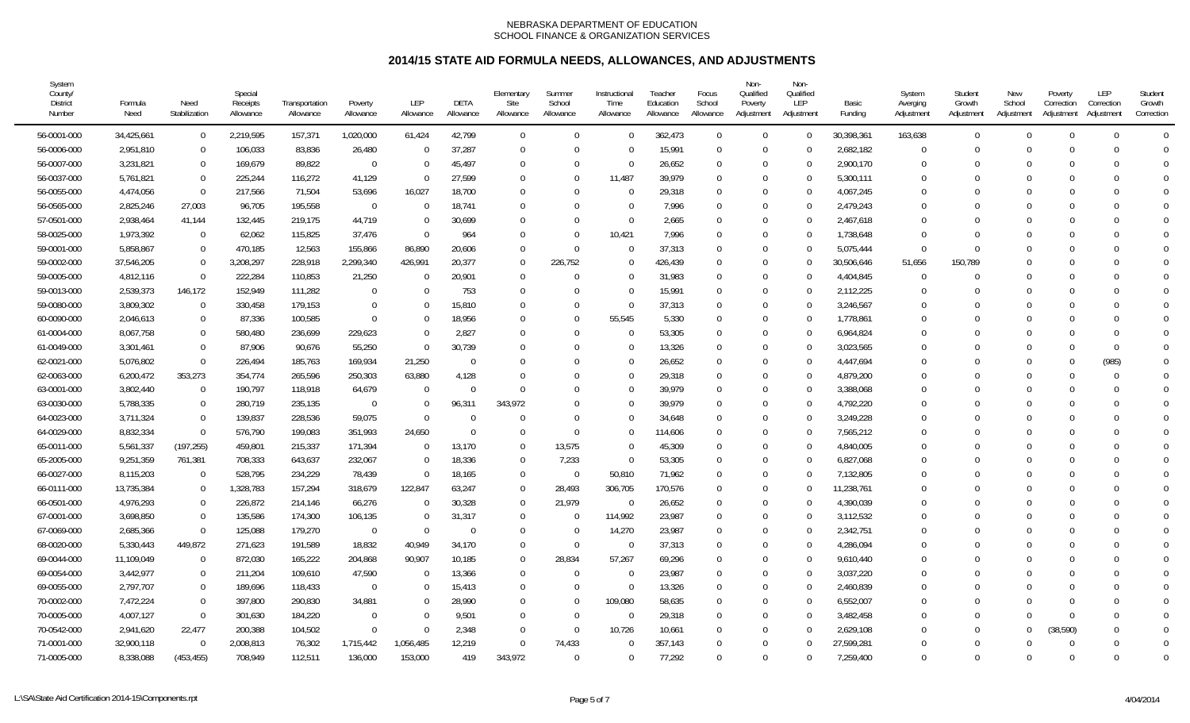| System<br>County/<br><b>District</b><br>Number | Formula<br>Need | Need<br>Stabilization | Special<br>Receipts<br>Allowance | Transportation<br>Allowance | Poverty<br>Allowance | <b>LEP</b><br>Allowance | DETA<br>Allowance | Elementary<br>Site<br>Allowance | Summer<br>School<br>Allowance | Instructional<br>Time<br>Allowance | Teacher<br>Education<br>Allowance | Focus<br>School<br>Allowance | Non-<br>Qualified<br>Poverty<br>Adjustment | Non-<br>Qualified<br>LEP<br>Adjustment | Basic<br>Funding | System<br>Averging<br>Adjustment | Student<br>Growth<br>Adjustment | New<br>School<br>Adjustment | Poverty<br>Correction<br>Adjustment | LEP<br>Correction<br>Adjustment | Student<br>Growth<br>Correction |
|------------------------------------------------|-----------------|-----------------------|----------------------------------|-----------------------------|----------------------|-------------------------|-------------------|---------------------------------|-------------------------------|------------------------------------|-----------------------------------|------------------------------|--------------------------------------------|----------------------------------------|------------------|----------------------------------|---------------------------------|-----------------------------|-------------------------------------|---------------------------------|---------------------------------|
| 56-0001-000                                    | 34,425,661      | $\overline{0}$        | 2,219,595                        | 157,371                     | 1,020,000            | 61,424                  | 42,799            | $\mathbf 0$                     | $\Omega$                      | $\Omega$                           | 362,473                           | $\Omega$                     | $\Omega$                                   | $\Omega$                               | 30,398,361       | 163,638                          | $\Omega$                        | $\Omega$                    | $\Omega$                            | $\Omega$                        | $\Omega$                        |
| 56-0006-000                                    | 2,951,810       | $\Omega$              | 106,033                          | 83,836                      | 26,480               | $\Omega$                | 37,287            | $\Omega$                        | $\Omega$                      | $\Omega$                           | 15,991                            | $\Omega$                     | $\Omega$                                   | $\Omega$                               | 2,682,182        | $\theta$                         |                                 | $\Omega$                    |                                     | $\Omega$                        | $\Omega$                        |
| 56-0007-000                                    | 3,231,821       | $\Omega$              | 169,679                          | 89,822                      | $\Omega$             |                         | 45,497            | $\Omega$                        | $\Omega$                      | $\Omega$                           | 26,652                            | $\Omega$                     | $\Omega$                                   | $\Omega$                               | 2,900,170        | $\Omega$                         |                                 |                             | $\Omega$                            | $\Omega$                        | $\Omega$                        |
| 56-0037-000                                    | 5,761,821       | $\Omega$              | 225,244                          | 116,272                     | 41,129               |                         | 27,599            | $\Omega$                        | $\Omega$                      | 11,487                             | 39,979                            | $\Omega$                     | $\Omega$                                   | $\Omega$                               | 5,300,111        | $\Omega$                         |                                 |                             |                                     | $\Omega$                        | $\Omega$                        |
| 56-0055-000                                    | 4,474,056       | $\Omega$              | 217,566                          | 71,504                      | 53,696               | 16,027                  | 18,700            | $\mathbf{0}$                    | $\Omega$                      | $\Omega$                           | 29,318                            | $\Omega$                     | $\Omega$                                   | $\Omega$                               | 4,067,245        | $\Omega$                         |                                 |                             |                                     | $\Omega$                        | $\mathbf 0$                     |
| 56-0565-000                                    | 2,825,246       | 27,003                | 96,705                           | 195,558                     | $\overline{0}$       |                         | 18,741            | $\overline{0}$                  | $\Omega$                      | $\Omega$                           | 7,996                             | $\Omega$                     | $\Omega$                                   | $\Omega$                               | 2,479,243        | $\Omega$                         |                                 |                             |                                     | $\Omega$                        | $\bigcap$                       |
| 57-0501-000                                    | 2,938,464       | 41,144                | 132,445                          | 219,175                     | 44,719               | $\Omega$                | 30,699            | $\Omega$                        | $\Omega$                      | $\Omega$                           | 2,665                             | $\Omega$                     | $\Omega$                                   | $\Omega$                               | 2,467,618        | $\Omega$                         |                                 |                             |                                     | $\Omega$                        | $\sqrt{ }$                      |
| 58-0025-000                                    | 1,973,392       | $\Omega$              | 62,062                           | 115,825                     | 37,476               |                         | 964               | $\Omega$                        | $\Omega$                      | 10,421                             | 7,996                             | $\Omega$                     | $\Omega$                                   |                                        | 1,738,648        | $\Omega$                         |                                 |                             |                                     |                                 | $\Omega$                        |
| 59-0001-000                                    | 5,858,867       | $\Omega$              | 470,185                          | 12,563                      | 155,866              | 86,890                  | 20,606            | $\Omega$                        | $\Omega$                      | $\Omega$                           | 37,313                            | $\Omega$                     | $\Omega$                                   | $\Omega$                               | 5,075,444        | $\overline{0}$                   |                                 |                             |                                     | ∩                               | $\theta$                        |
| 59-0002-000                                    | 37,546,205      | $\Omega$              | 3,208,297                        | 228,918                     | 2,299,340            | 426,991                 | 20,377            | $\Omega$                        | 226,752                       | $\Omega$                           | 426,439                           | $\Omega$                     | $\Omega$                                   | $\Omega$                               | 30,506,646       | 51,656                           | 150,789                         |                             |                                     | $\Omega$                        | $\bigcap$                       |
| 59-0005-000                                    | 4,812,116       | $\overline{0}$        | 222,284                          | 110,853                     | 21,250               | $\Omega$                | 20,901            | $\overline{0}$                  | $\Omega$                      | $\Omega$                           | 31,983                            | $\Omega$                     | $\Omega$                                   | $\Omega$                               | 4,404,845        | $\Omega$                         |                                 |                             |                                     | $\Omega$                        | $\bigcap$                       |
| 59-0013-000                                    | 2,539,373       | 146,172               | 152,949                          | 111,282                     | $\mathbf 0$          |                         | 753               | $\overline{0}$                  | $\Omega$                      | $\Omega$                           | 15,991                            | $\Omega$                     | $\Omega$                                   |                                        | 2,112,225        | $\Omega$                         |                                 |                             |                                     | ∩                               | $\bigcap$                       |
| 59-0080-000                                    | 3,809,302       | $\mathbf 0$           | 330,458                          | 179,153                     | $\mathbf{0}$         |                         | 15,810            | $\mathbf{0}$                    | $\Omega$                      | $\overline{0}$                     | 37,313                            | $\Omega$                     | $\Omega$                                   | ∩                                      | 3,246,567        | $\Omega$                         |                                 |                             |                                     | $\Omega$                        | $\bigcap$                       |
| 60-0090-000                                    | 2,046,613       | $\Omega$              | 87,336                           | 100,585                     | $\mathbf 0$          | $\Omega$                | 18,956            | $\Omega$                        | $\Omega$                      | 55,545                             | 5,330                             | $\Omega$                     | $\Omega$                                   | $\Omega$                               | 1,778,861        | $\Omega$                         |                                 |                             |                                     | $\Omega$                        | $\overline{0}$                  |
| 61-0004-000                                    | 8,067,758       | $\Omega$              | 580,480                          | 236,699                     | 229,623              |                         | 2,827             | $\mathbf{0}$                    | $\Omega$                      | $\Omega$                           | 53,305                            | $\Omega$                     | $\Omega$                                   | $\Omega$                               | 6,964,824        | $\Omega$                         |                                 |                             |                                     | $\Omega$                        | $\mathbf 0$                     |
| 61-0049-000                                    | 3,301,461       | $\Omega$              | 87,906                           | 90,676                      | 55,250               |                         | 30,739            | $\Omega$                        | $\Omega$                      | $\Omega$                           | 13,326                            | $\Omega$                     | $\Omega$                                   | $\Omega$                               | 3,023,565        | $\Omega$                         |                                 |                             | $\Omega$                            | $\Omega$                        | $\Omega$                        |
| 62-0021-000                                    | 5,076,802       | $\Omega$              | 226,494                          | 185,763                     | 169,934              | 21,250                  | $\Omega$          | $\Omega$                        | $\Omega$                      | $\Omega$                           | 26,652                            | $\Omega$                     | $\Omega$                                   |                                        | 4,447,694        | $\Omega$                         |                                 |                             | $\Omega$                            | (985)                           | $\Omega$                        |
| 62-0063-000                                    | 6,200,472       | 353,273               | 354,774                          | 265,596                     | 250,303              | 63,880                  | 4,128             | $\mathbf 0$                     | $\Omega$                      | $\Omega$                           | 29,318                            | $\Omega$                     | $\Omega$                                   | $\Omega$                               | 4,879,200        | $\Omega$                         |                                 |                             |                                     | $\Omega$                        | $\Omega$                        |
| 63-0001-000                                    | 3,802,440       | $\overline{0}$        | 190,797                          | 118,918                     | 64,679               | $\Omega$                | $\Omega$          | $\Omega$                        | $\Omega$                      | $\Omega$                           | 39,979                            | $\Omega$                     | $\Omega$                                   | $\Omega$                               | 3,388,068        | $\Omega$                         |                                 | - C                         |                                     | $\Omega$                        | $\Omega$                        |
| 63-0030-000                                    | 5,788,335       | $\Omega$              | 280,719                          | 235,135                     | $\Omega$             |                         | 96,311            | 343,972                         | $\sqrt{ }$                    | $\Omega$                           | 39,979                            | $\Omega$                     | $\Omega$                                   | $\Omega$                               | 4,792,220        | $\Omega$                         |                                 |                             |                                     | $\Omega$                        | $\Omega$                        |
| 64-0023-000                                    | 3,711,324       | $\mathbf 0$           | 139,837                          | 228,536                     | 59,075               | $\Omega$                | $\Omega$          | $\Omega$                        | $\Omega$                      | $\Omega$                           | 34,648                            | $\Omega$                     | $\Omega$                                   |                                        | 3,249,228        | $\Omega$                         |                                 |                             |                                     | $\Omega$                        | $\Omega$                        |
| 64-0029-000                                    | 8,832,334       | $\overline{0}$        | 576,790                          | 199,083                     | 351,993              | 24,650                  | $\Omega$          | $\Omega$                        | $\Omega$                      | $\Omega$                           | 114,606                           | $\Omega$                     | $\Omega$                                   | $\Omega$                               | 7,565,212        | $\Omega$                         |                                 |                             |                                     | $\Omega$                        | $\bigcap$                       |
| 65-0011-000                                    | 5,561,337       | (197, 255)            | 459,801                          | 215,337                     | 171,394              | $\Omega$                | 13,170            | $\overline{0}$                  | 13,575                        | $\Omega$                           | 45,309                            | $\Omega$                     | $\Omega$                                   | $\Omega$                               | 4,840,005        | $\Omega$                         |                                 |                             |                                     | $\Omega$                        | $\bigcap$                       |
| 65-2005-000                                    | 9,251,359       | 761,381               | 708,333                          | 643,637                     | 232,067              | $\Omega$                | 18,336            | $\overline{0}$                  | 7,233                         | $\Omega$                           | 53,305                            | $\Omega$                     | $\Omega$                                   | $\Omega$                               | 6,827,068        | $\Omega$                         |                                 |                             |                                     | $\Omega$                        | $\overline{0}$                  |
| 66-0027-000                                    | 8,115,203       | $\Omega$              | 528,795                          | 234,229                     | 78,439               |                         | 18,165            | $\overline{0}$                  | - 0                           | 50,810                             | 71,962                            | $\Omega$                     | $\Omega$                                   | $\Omega$                               | 7,132,805        | $\Omega$                         |                                 |                             |                                     | $\Omega$                        | $\Omega$                        |
| 66-0111-000                                    | 13,735,384      | $\Omega$              | 1,328,783                        | 157,294                     | 318,679              | 122,847                 | 63,247            | $\overline{0}$                  | 28,493                        | 306,705                            | 170,576                           | $\Omega$                     | $\Omega$                                   |                                        | 11,238,761       | $\Omega$                         |                                 |                             | $\Omega$                            | $\Omega$                        | $\Omega$                        |
| 66-0501-000                                    | 4,976,293       | $\overline{0}$        | 226,872                          | 214,146                     | 66,276               |                         | 30,328            | $\overline{0}$                  | 21,979                        | - 0                                | 26,652                            | $\Omega$                     | $\Omega$                                   | 0                                      | 4,390,039        | $\Omega$                         |                                 | $\lceil$                    |                                     | ∩                               | $\sqrt{ }$                      |
| 67-0001-000                                    | 3,698,850       | $\mathbf 0$           | 135,586                          | 174,300                     | 106,135              | $\Omega$                | 31,317            | $\overline{0}$                  | $\Omega$                      | 114,992                            | 23,987                            | $\Omega$                     | $\Omega$                                   | ∩                                      | 3,112,532        | $\Omega$                         |                                 |                             |                                     | $\Omega$                        | $\Omega$                        |
| 67-0069-000                                    | 2,685,366       | $\mathbf 0$           | 125,088                          | 179,270                     | $\overline{0}$       | $\Omega$                | $\overline{0}$    | $\overline{0}$                  | $\overline{0}$                | 14,270                             | 23,987                            | $\Omega$                     | $\Omega$                                   | $\Omega$                               | 2,342,751        | $\Omega$                         |                                 |                             |                                     | $\Omega$                        | $\Omega$                        |
| 68-0020-000                                    | 5,330,443       | 449,872               | 271,623                          | 191,589                     | 18,832               | 40,949                  | 34,170            | $\overline{0}$                  | $\Omega$                      | $\Omega$                           | 37,313                            | $\Omega$                     | $\Omega$                                   | $\Omega$                               | 4,286,094        | $\Omega$                         |                                 |                             |                                     | $\Omega$                        | $\Omega$                        |
| 69-0044-000                                    | 11,109,049      | $\Omega$              | 872,030                          | 165,222                     | 204,868              | 90,907                  | 10,185            | $\overline{0}$                  | 28,834                        | 57,267                             | 69,296                            | $\Omega$                     | $\Omega$                                   |                                        | 9,610,440        | $\Omega$                         |                                 |                             | $\Omega$                            | $\Omega$                        | $\Omega$                        |
| 69-0054-000                                    | 3,442,977       | $\overline{0}$        | 211,204                          | 109,610                     | 47,590               |                         | 13,366            | $\overline{0}$                  | $\Omega$                      | $\overline{0}$                     | 23,987                            | $\Omega$                     | $\Omega$                                   | 0                                      | 3,037,220        | $\Omega$                         |                                 |                             |                                     | ∩                               | $\bigcap$                       |
| 69-0055-000                                    | 2,797,707       | $\mathbf 0$           | 189,696                          | 118,433                     | $\mathbf{0}$         |                         | 15,413            | $\overline{0}$                  | $\Omega$                      | $\mathbf 0$                        | 13,326                            | $\Omega$                     | $\Omega$                                   | $\Omega$                               | 2,460,839        | $\Omega$                         |                                 |                             |                                     | $\Omega$                        | $\Omega$                        |
| 70-0002-000                                    | 7,472,224       | $\Omega$              | 397,800                          | 290,830                     | 34,881               | $\Omega$                | 28,990            | $\Omega$                        | $\Omega$                      | 109,080                            | 58,635                            | $\Omega$                     | $\Omega$                                   | $\Omega$                               | 6,552,007        | $\Omega$                         |                                 |                             | $\Omega$                            | $\Omega$                        | $\theta$                        |
| 70-0005-000                                    | 4,007,127       | $\overline{0}$        | 301,630                          | 184,220                     | $\Omega$             |                         | 9,501             | $\Omega$                        | $\Omega$                      | $\Omega$                           | 29,318                            | $\Omega$                     | $\Omega$                                   | $\Omega$                               | 3,482,458        | $\Omega$                         | 0                               |                             | $\Omega$                            | $\Omega$                        | $\overline{0}$                  |
| 70-0542-000                                    | 2,941,620       | 22,477                | 200,388                          | 104,502                     | $\Omega$             |                         | 2,348             | $\Omega$                        | $\Omega$                      | 10,726                             | 10,661                            | $\Omega$                     | $\Omega$                                   |                                        | 2,629,108        | $\Omega$                         |                                 | $\Omega$                    | (38, 590)                           | $\Omega$                        | $\overline{0}$                  |
| 71-0001-000                                    | 32,900,118      | $\Omega$              | 2,008,813                        | 76,302                      | 1,715,442            | 1,056,485               | 12,219            | $\Omega$                        | 74,433<br>$\Omega$            | $\Omega$<br>$\Omega$               | 357,143                           | $\Omega$<br>$\Omega$         | $\Omega$<br>$\Omega$                       |                                        | 27,599,281       | $\Omega$<br>$\Omega$             | U<br>$\Omega$                   | $\cap$                      | $\cap$                              | $\Omega$<br>$\Omega$            | $\Omega$                        |
| 71-0005-000                                    | 8,338,088       | (453, 455)            | 708,949                          | 112,511                     | 136,000              | 153,000                 | 419               | 343,972                         |                               |                                    | 77,292                            |                              |                                            | $\Omega$                               | 7,259,400        |                                  |                                 |                             |                                     |                                 | $\Omega$                        |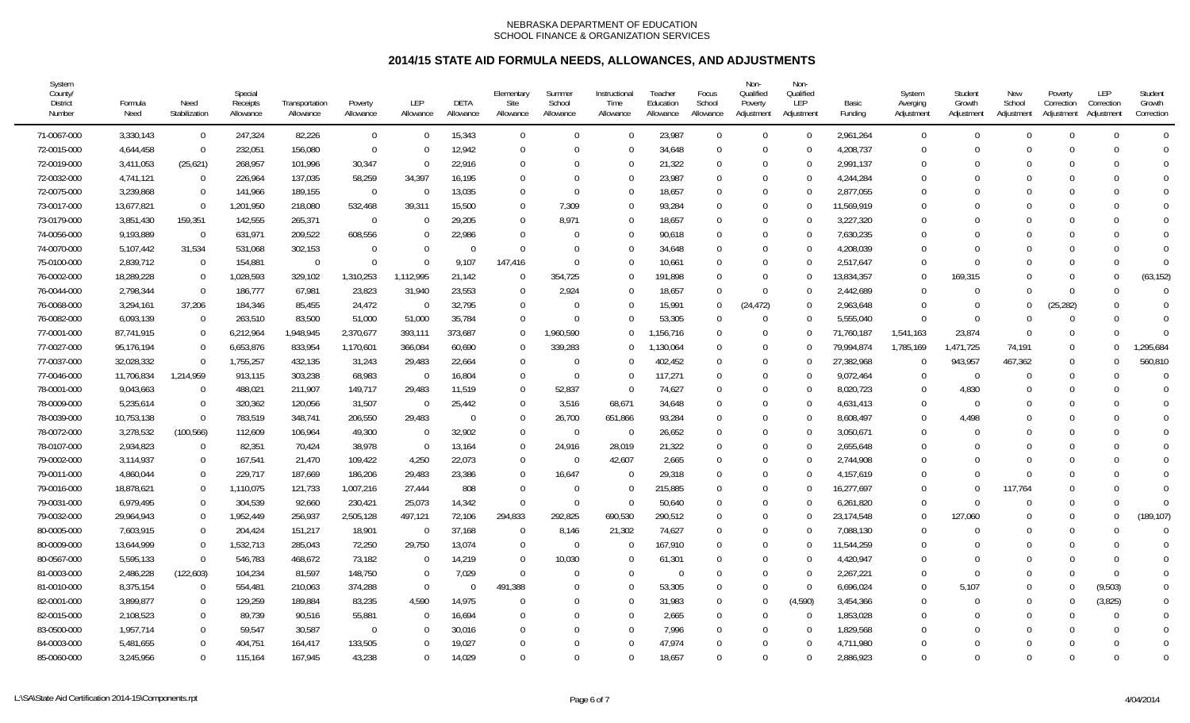| System<br>County/<br><b>District</b><br>Number | Formula<br>Need        | Need<br>Stabilization | Special<br>Receipts<br>Allowance | Transportation<br>Allowance | Poverty<br>Allowance | <b>LEP</b><br>Allowance | DETA<br>Allowance | Elementary<br>Site<br>Allowance | Summer<br>School<br>Allowance | Instructional<br>Time<br>Allowance | Teacher<br>Education<br>Allowance | Focus<br>School<br>Allowance | Non-<br>Qualified<br>Poverty<br>Adjustment | Non-<br>Qualified<br>LEP<br>Adjustment | Basic<br>Funding | System<br>Averging<br>Adjustment | Student<br>Growth<br>Adjustment | New<br>School<br>Adjustment | Poverty<br>Correction<br>Adjustment | LEP<br>Correction<br>Adjustment | Student<br>Growth<br>Correction |
|------------------------------------------------|------------------------|-----------------------|----------------------------------|-----------------------------|----------------------|-------------------------|-------------------|---------------------------------|-------------------------------|------------------------------------|-----------------------------------|------------------------------|--------------------------------------------|----------------------------------------|------------------|----------------------------------|---------------------------------|-----------------------------|-------------------------------------|---------------------------------|---------------------------------|
| 71-0067-000                                    | 3,330,143              | $\mathbf 0$           | 247,324                          | 82,226                      | $\mathbf 0$          | $\Omega$                | 15,343            | $\mathbf 0$                     | $\Omega$                      | $\Omega$                           | 23,987                            | $\Omega$                     | $\Omega$                                   | $\Omega$                               | 2,961,264        | $\overline{0}$                   | $\Omega$                        | $\Omega$                    | $\Omega$                            | $\Omega$                        | $\Omega$                        |
| 72-0015-000                                    | 4,644,458              | $\Omega$              | 232,051                          | 156,080                     | $\mathbf{0}$         |                         | 12,942            | $\overline{0}$                  | $\Omega$                      | $\Omega$                           | 34,648                            | $\Omega$                     | $\Omega$                                   | $\Omega$                               | 4,208,737        | $\Omega$                         |                                 | $\Omega$                    | $\Omega$                            |                                 | $\Omega$                        |
| 72-0019-000                                    | 3,411,053              | (25,621)              | 268,957                          | 101,996                     | 30,347               |                         | 22,916            | $\overline{0}$                  | $\Omega$                      | $\Omega$                           | 21,322                            | $\theta$                     | $\Omega$                                   | $\Omega$                               | 2,991,137        | $\Omega$                         |                                 |                             | $\Omega$                            |                                 | $\Omega$                        |
| 72-0032-000                                    | 4,741,121              | $\Omega$              | 226,964                          | 137,035                     | 58,259               | 34,397                  | 16,195            | $\Omega$                        | $\Omega$                      | $\Omega$                           | 23,987                            | $\Omega$                     | $\Omega$                                   | $\Omega$                               | 4,244,284        | $\theta$                         |                                 | $\Omega$                    | $\Omega$                            |                                 | $\Omega$                        |
| 72-0075-000                                    | 3,239,868              | $\Omega$              | 141,966                          | 189,155                     | $\Omega$             | $\Omega$                | 13,035            | $\Omega$                        | $\Omega$                      | $\Omega$                           | 18,657                            | $\Omega$                     | $\Omega$                                   | $\Omega$                               | 2,877,055        | 0                                |                                 | $\Omega$                    | $\Omega$                            |                                 | $\Omega$                        |
| 73-0017-000                                    | 13,677,821             | $\Omega$              | 1,201,950                        | 218,080                     | 532,468              | 39,311                  | 15,500            | $\Omega$                        | 7,309                         | $\Omega$                           | 93,284                            | $\Omega$                     | $\Omega$                                   |                                        | 11,569,919       | $\Omega$                         |                                 | $\Omega$                    | $\Omega$                            |                                 | $\Omega$                        |
| 73-0179-000                                    | 3,851,430              | 159,351               | 142,555                          | 265,371                     | $\Omega$             |                         | 29,205            | $\Omega$                        | 8,971                         | $\Omega$                           | 18,657                            | $\Omega$                     | $\Omega$                                   | $\Omega$                               | 3,227,320        | $\Omega$                         |                                 | $\Omega$                    | $\Omega$                            |                                 | $\Omega$                        |
| 74-0056-000                                    | 9,193,889              | $\Omega$              | 631,971                          | 209,522                     | 608,556              |                         | 22,986            | $\Omega$                        | $\Omega$                      | $\Omega$                           | 90,618                            | $\Omega$                     | $\Omega$                                   | $\Omega$                               | 7,630,235        | $\Omega$                         |                                 |                             | $\Omega$                            |                                 | $\Omega$                        |
| 74-0070-000                                    | 5,107,442              | 31,534                | 531,068                          | 302,153                     | $\Omega$             | 0                       | $\Omega$          | $\Omega$                        | $\Omega$                      | $\Omega$                           | 34,648                            | $\Omega$                     | $\Omega$                                   | $\Omega$                               | 4,208,039        | 0                                |                                 |                             | $\Omega$                            |                                 | $\Omega$                        |
| 75-0100-000                                    | 2,839,712              | $\Omega$              | 154,881                          | $\Omega$                    | $\Omega$             |                         | 9,107             | 147,416                         | $\Omega$                      | $\Omega$                           | 10,661                            | $\Omega$                     | $\Omega$                                   | $\Omega$                               | 2,517,647        | $\Omega$                         |                                 |                             |                                     |                                 | $\Omega$                        |
| 76-0002-000                                    | 18,289,228             | $\Omega$              | 1,028,593                        | 329,102                     | 1,310,253            | 1,112,995               | 21,142            | $\Omega$                        | 354,725                       | $\Omega$                           | 191.898                           | $\Omega$                     | $\Omega$                                   |                                        | 13,834,357       | $\Omega$                         | 169,315                         | $\Omega$                    | $\Omega$                            | U                               | (63, 152)                       |
| 76-0044-000                                    | 2,798,344              | $\Omega$              | 186,777                          | 67,981                      | 23,823               | 31,940                  | 23,553            | $\Omega$                        | 2,924                         | $\Omega$                           | 18,657                            | $\Omega$                     | $\Omega$                                   | $\Omega$                               | 2,442,689        | $\Omega$                         |                                 | $\cup$                      | $\Omega$                            |                                 | $\Omega$                        |
| 76-0068-000                                    | 3,294,161              | 37,206                | 184,346                          | 85,455                      | 24,472               | $\Omega$                | 32,795            | $\Omega$                        | $\Omega$                      | $\Omega$                           | 15,991                            | $\Omega$                     | (24, 472)                                  | $\Omega$                               | 2,963,648        | $\theta$                         |                                 | $\Omega$                    | (25, 282)                           |                                 | $\Omega$                        |
| 76-0082-000                                    | 6,093,139              | $\Omega$              | 263,510                          | 83,500                      | 51,000               | 51,000                  | 35,784            | $\Omega$                        | $\Omega$                      | $\Omega$                           | 53,305                            | $\Omega$                     | $\Omega$                                   | $\Omega$                               | 5,555,040        | $\Omega$                         | $\Omega$                        | $\Omega$                    | $\Omega$                            |                                 | $\Omega$                        |
| 77-0001-000                                    | 87,741,915             | $\Omega$              | 6,212,964                        | 1,948,945                   | 2,370,677            | 393,111                 | 373,687           | $\Omega$                        | 1.960.590                     | $\Omega$                           | ,156,716                          | $\Omega$                     | $\Omega$                                   | ∩                                      | 71,760,187       | 1,541,163                        | 23,874                          | $\Omega$                    | $\Omega$                            |                                 | $\Omega$                        |
| 77-0027-000                                    | 95,176,194             | $\Omega$              | 6,653,876                        | 833,954                     | 1,170,601            | 366,084                 | 60,690            | $\Omega$                        | 339,283                       | $\Omega$                           | 1,130,064                         | $\Omega$                     | $\Omega$                                   |                                        | 79,994,874       | 1,785,169                        | 1,471,725                       | 74,191                      | $\Omega$                            |                                 | ,295,684                        |
| 77-0037-000                                    | 32,028,332             | $\Omega$              | 1,755,257                        | 432,135                     | 31,243               | 29,483                  | 22,664            | $\overline{0}$                  | $\Omega$                      | $\Omega$                           | 402,452                           | $\Omega$                     | $\Omega$                                   |                                        | 27,382,968       | 0                                | 943,957                         | 467,362                     | $\Omega$                            |                                 | 560,810                         |
| 77-0046-000                                    | 11,706,834             | 1,214,959             | 913,115                          | 303,238                     | 68,983               | 0                       | 16,804            | $\overline{0}$                  | $\overline{0}$                | $\Omega$                           | 117,271                           | $\Omega$                     | $\Omega$                                   | $\Omega$                               | 9,072,464        | $\overline{0}$                   | $\Omega$                        | $\Omega$                    | $\Omega$                            |                                 |                                 |
| 78-0001-000                                    | 9,043,663              | $\Omega$              | 488,021                          | 211,907                     | 149,717              | 29,483                  | 11,519            | $\overline{0}$                  | 52,837                        | $\overline{0}$                     | 74,627                            | $\Omega$                     | $\Omega$                                   | $\Omega$                               | 8,020,723        | $\Omega$                         | 4,830                           | $\Omega$                    | $\Omega$                            |                                 | $\Omega$                        |
| 78-0009-000                                    | 5,235,614              | $\Omega$              | 320,362                          | 120,056                     | 31,507               | $\Omega$                | 25,442            | $\overline{0}$                  | 3,516                         | 68,671                             | 34,648                            | $\Omega$                     | $\Omega$                                   | $\Omega$                               | 4,631,413        | $\Omega$                         | $\Omega$                        | $\Omega$                    | $\Omega$                            |                                 | $\Omega$                        |
| 78-0039-000                                    | 10,753,138             | $\Omega$              | 783,519                          | 348,741                     | 206,550              | 29,483                  | $\Omega$          | $\overline{0}$                  | 26,700                        | 651,866                            | 93,284                            | $\Omega$                     | $\Omega$                                   |                                        | 8,608,497        | $\Omega$                         | 4,498                           | 0                           | $\Omega$                            |                                 |                                 |
| 78-0072-000                                    | 3,278,532              | (100, 566)            | 112,609                          | 106,964                     | 49,300               | $\Omega$                | 32,902            | $\mathbf 0$                     | $\overline{0}$                | $\overline{0}$                     | 26,652                            | $\Omega$                     | $\Omega$                                   | $\theta$                               | 3,050,671        | $\Omega$                         |                                 | $\Omega$                    | $\Omega$                            |                                 | $\Omega$                        |
| 78-0107-000                                    | 2,934,823              | $\Omega$              | 82,351                           | 70,424                      | 38,978               |                         | 13,164            | $\overline{0}$                  | 24,916                        | 28,019                             | 21,322                            | $\Omega$                     | $\Omega$                                   | $\Omega$                               | 2,655,648        | $\Omega$                         |                                 |                             | $\Omega$                            |                                 |                                 |
| 79-0002-000                                    | 3,114,937              | $\Omega$              | 167,541                          | 21,470                      | 109,422              | 4,250                   | 22,073            | $\overline{0}$                  | - 0                           | 42,607                             | 2,665                             | $\Omega$                     | $\Omega$                                   | $\Omega$                               | 2,744,908        | $\theta$                         |                                 | $\Omega$                    | $\Omega$                            |                                 | $\Omega$                        |
| 79-0011-000                                    | 4,860,044              | $\Omega$              | 229,717                          | 187,669                     | 186,206              | 29,483                  | 23,386            | $\Omega$                        | 16,647                        | $\Omega$                           | 29,318                            | $\Omega$                     | $\Omega$                                   | $\Omega$                               | 4,157,619        | $\Omega$                         |                                 | $\Omega$                    | $\Omega$                            |                                 | $\Omega$                        |
| 79-0016-000                                    | 18,878,621             | $\Omega$              | 1,110,075                        | 121,733                     | 1,007,216            | 27,444                  | 808               | $\Omega$                        | - 0                           | $\Omega$                           | 215,885                           | $\Omega$                     | $\Omega$                                   |                                        | 16,277,697       | $\Omega$                         |                                 | 117.764                     | $\Omega$                            |                                 | $\Omega$                        |
| 79-0031-000                                    | 6,979,495              | $\Omega$              | 304,539                          | 92,660                      | 230,421              | 25,073                  | 14,342            | $\Omega$                        | - 0                           | $\Omega$                           | 50,640                            | $\Omega$                     | $\Omega$                                   | $\Omega$                               | 6,261,820        | $\Omega$                         |                                 | $\Omega$                    | $\Omega$                            |                                 |                                 |
| 79-0032-000                                    | 29,964,943             | $\Omega$              | 1,952,449                        | 256,937                     | 2,505,128            | 497,121                 | 72,106            | 294,833                         | 292,825                       | 690,530                            | 290,512                           | $\Omega$                     | $\Omega$                                   | $\Omega$                               | 23,174,548       | $\Omega$                         | 127,060                         | $\Omega$                    | $\Omega$                            |                                 | (189, 107)                      |
| 80-0005-000                                    | 7,603,915              | $\Omega$              | 204,424                          | 151,217                     | 18,901               | $\Omega$                | 37,168            | $\Omega$                        | 8,146                         | 21,302                             | 74,627                            | $\Omega$                     | $\Omega$                                   | $\Omega$                               | 7,088,130        | $\Omega$                         |                                 | $\Omega$                    | $\Omega$                            |                                 | $\Omega$                        |
| 80-0009-000                                    | 13,644,999             | $\Omega$              | 1,532,713                        | 285,043                     | 72,250               | 29,750                  | 13,074            | $\Omega$                        | - 0                           | $\Omega$                           | 167,910                           | $\Omega$                     | $\Omega$                                   | $\Omega$                               | 11,544,259       | $\Omega$                         |                                 | 0                           |                                     |                                 | $\Omega$                        |
| 80-0567-000                                    | 5,595,133              | $\Omega$              | 546,783                          | 468,672                     | 73,182               |                         | 14,219            | $\Omega$                        | 10,030                        | $\Omega$                           | 61,301                            | $\Omega$                     | $\Omega$                                   |                                        | 4,420,947        | $\Omega$                         |                                 | $\Omega$                    | $\cap$                              |                                 | $\Omega$                        |
| 81-0003-000                                    | 2,486,228              | (122, 603)            | 104,234                          | 81,597                      | 148,750              |                         | 7,029             | $\Omega$                        | $\Omega$                      | $\Omega$                           | $\Omega$                          | $\Omega$                     | $\Omega$                                   | $\Omega$                               | 2,267,221        | $\Omega$                         | $\Omega$                        | $\Omega$                    | $\Omega$                            | $\Omega$                        | $\Omega$                        |
| 81-0010-000                                    | 8,375,154              | $\Omega$              | 554,481                          | 210,063                     | 374,288              | $\Omega$                | $\Omega$          | 491,388                         | $\Omega$                      | $\Omega$                           | 53,305                            | $\Omega$                     | $\Omega$                                   | $\Omega$                               | 6,696,024        | $\Omega$                         | 5,107                           | $\Omega$                    |                                     | (9, 503)                        | $\Omega$                        |
| 82-0001-000                                    | 3,899,877              | $\Omega$              | 129,259                          | 189,884                     | 83,235               | 4,590                   | 14,975            | $\Omega$                        | $\Omega$                      | $\Omega$                           | 31,983                            | $\Omega$                     | $\Omega$                                   | (4,590)                                | 3,454,366        | $\Omega$                         |                                 | $\Omega$                    | $\cap$                              | (3,825)                         | $\Omega$                        |
| 82-0015-000                                    | 2,108,523              | $\Omega$<br>$\Omega$  | 89,739                           | 90,516                      | 55,881<br>$\Omega$   | $\Omega$                | 16,694            | $\Omega$<br>$\Omega$            | $\Omega$                      | $\Omega$<br>$\Omega$               | 2,665                             | $\Omega$<br>$\Omega$         | $\Omega$<br>$\Omega$                       | $\Omega$                               | 1,853,028        | 0<br>$\Omega$                    |                                 | $\Omega$                    |                                     | U                               | $\Omega$                        |
| 83-0500-000                                    | 1,957,714<br>5,481,655 | $\Omega$              | 59,547                           | 30,587<br>164,417           | 133,505              |                         | 30,016<br>19,027  | $\Omega$                        | $\Omega$<br>$\Omega$          | $\Omega$                           | 7,996<br>47,974                   | $\Omega$                     | $\Omega$                                   |                                        | 1,829,568        | $\Omega$                         |                                 |                             |                                     |                                 |                                 |
| 84-0003-000                                    |                        | $\Omega$              | 404,751                          |                             |                      | 0                       |                   | $\Omega$                        | $\Omega$                      | $\Omega$                           |                                   | $\Omega$                     | $\Omega$                                   | $\Omega$                               | 4,711,980        | $\Omega$                         | $\cap$                          | $\Omega$                    | $\Omega$                            |                                 | $\Omega$                        |
| 85-0060-000                                    | 3,245,956              |                       | 115,164                          | 167,945                     | 43,238               |                         | 14,029            |                                 |                               |                                    | 18,657                            |                              |                                            |                                        | 2,886,923        |                                  |                                 |                             |                                     |                                 |                                 |